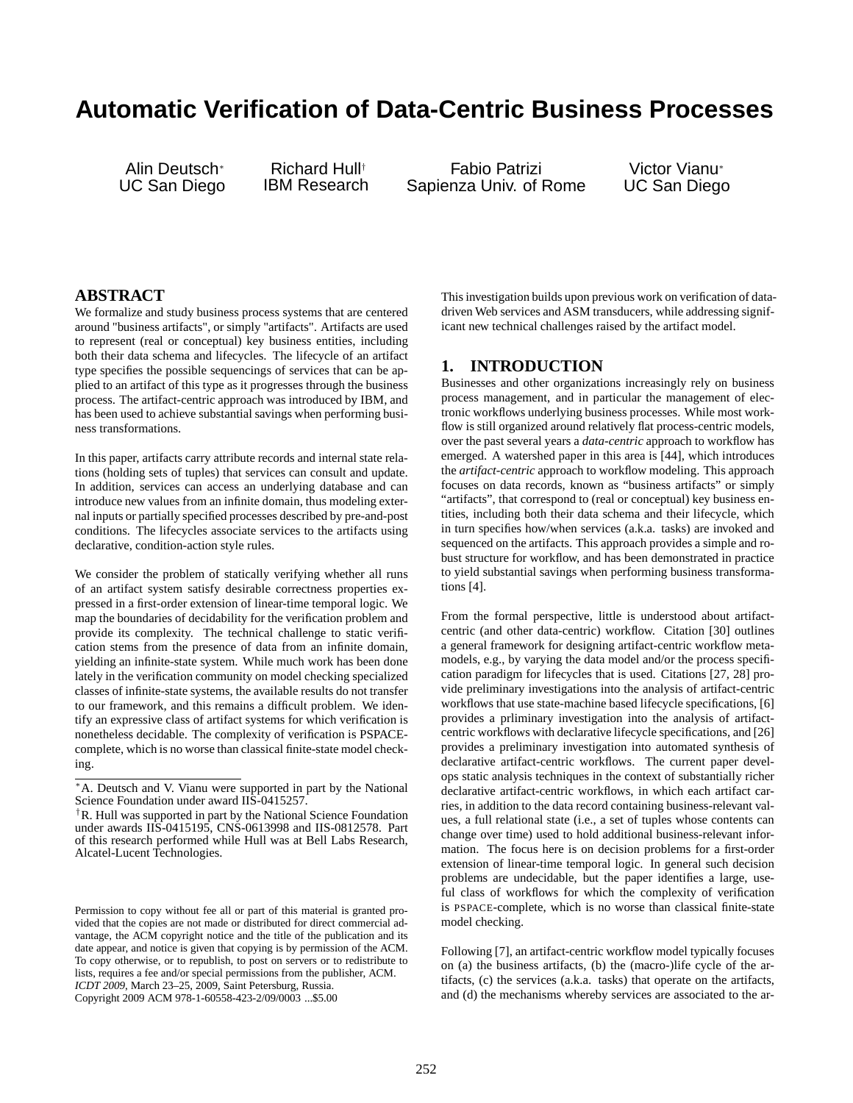# **Automatic Verification of Data-Centric Business Processes**

Alin Deutsch<sup>∗</sup> UC San Diego

Richard Hull† IBM Research

Fabio Patrizi Sapienza Univ. of Rome

Victor Vianu<sup>∗</sup> UC San Diego

## **ABSTRACT**

We formalize and study business process systems that are centered around "business artifacts", or simply "artifacts". Artifacts are used to represent (real or conceptual) key business entities, including both their data schema and lifecycles. The lifecycle of an artifact type specifies the possible sequencings of services that can be applied to an artifact of this type as it progresses through the business process. The artifact-centric approach was introduced by IBM, and has been used to achieve substantial savings when performing business transformations.

In this paper, artifacts carry attribute records and internal state relations (holding sets of tuples) that services can consult and update. In addition, services can access an underlying database and can introduce new values from an infinite domain, thus modeling external inputs or partially specified processes described by pre-and-post conditions. The lifecycles associate services to the artifacts using declarative, condition-action style rules.

We consider the problem of statically verifying whether all runs of an artifact system satisfy desirable correctness properties expressed in a first-order extension of linear-time temporal logic. We map the boundaries of decidability for the verification problem and provide its complexity. The technical challenge to static verification stems from the presence of data from an infinite domain, yielding an infinite-state system. While much work has been done lately in the verification community on model checking specialized classes of infinite-state systems, the available results do not transfer to our framework, and this remains a difficult problem. We identify an expressive class of artifact systems for which verification is nonetheless decidable. The complexity of verification is PSPACEcomplete, which is no worse than classical finite-state model checking.

Permission to copy without fee all or part of this material is granted provided that the copies are not made or distributed for direct commercial advantage, the ACM copyright notice and the title of the publication and its date appear, and notice is given that copying is by permission of the ACM. To copy otherwise, or to republish, to post on servers or to redistribute to lists, requires a fee and/or special permissions from the publisher, ACM. *ICDT 2009*, March 23–25, 2009, Saint Petersburg, Russia. Copyright 2009 ACM 978-1-60558-423-2/09/0003 ...\$5.00

This investigation builds upon previous work on verification of datadriven Web services and ASM transducers, while addressing significant new technical challenges raised by the artifact model.

## **1. INTRODUCTION**

Businesses and other organizations increasingly rely on business process management, and in particular the management of electronic workflows underlying business processes. While most workflow is still organized around relatively flat process-centric models, over the past several years a *data-centric* approach to workflow has emerged. A watershed paper in this area is [44], which introduces the *artifact-centric* approach to workflow modeling. This approach focuses on data records, known as "business artifacts" or simply "artifacts", that correspond to (real or conceptual) key business entities, including both their data schema and their lifecycle, which in turn specifies how/when services (a.k.a. tasks) are invoked and sequenced on the artifacts. This approach provides a simple and robust structure for workflow, and has been demonstrated in practice to yield substantial savings when performing business transformations [4].

From the formal perspective, little is understood about artifactcentric (and other data-centric) workflow. Citation [30] outlines a general framework for designing artifact-centric workflow metamodels, e.g., by varying the data model and/or the process specification paradigm for lifecycles that is used. Citations [27, 28] provide preliminary investigations into the analysis of artifact-centric workflows that use state-machine based lifecycle specifications, [6] provides a prliminary investigation into the analysis of artifactcentric workflows with declarative lifecycle specifications, and [26] provides a preliminary investigation into automated synthesis of declarative artifact-centric workflows. The current paper develops static analysis techniques in the context of substantially richer declarative artifact-centric workflows, in which each artifact carries, in addition to the data record containing business-relevant values, a full relational state (i.e., a set of tuples whose contents can change over time) used to hold additional business-relevant information. The focus here is on decision problems for a first-order extension of linear-time temporal logic. In general such decision problems are undecidable, but the paper identifies a large, useful class of workflows for which the complexity of verification is PSPACE-complete, which is no worse than classical finite-state model checking.

Following [7], an artifact-centric workflow model typically focuses on (a) the business artifacts, (b) the (macro-)life cycle of the artifacts, (c) the services (a.k.a. tasks) that operate on the artifacts, and (d) the mechanisms whereby services are associated to the ar-

<sup>∗</sup>A. Deutsch and V. Vianu were supported in part by the National Science Foundation under award IIS-0415257.

<sup>†</sup>R. Hull was supported in part by the National Science Foundation under awards IIS-0415195, CNS-0613998 and IIS-0812578. Part of this research performed while Hull was at Bell Labs Research, Alcatel-Lucent Technologies.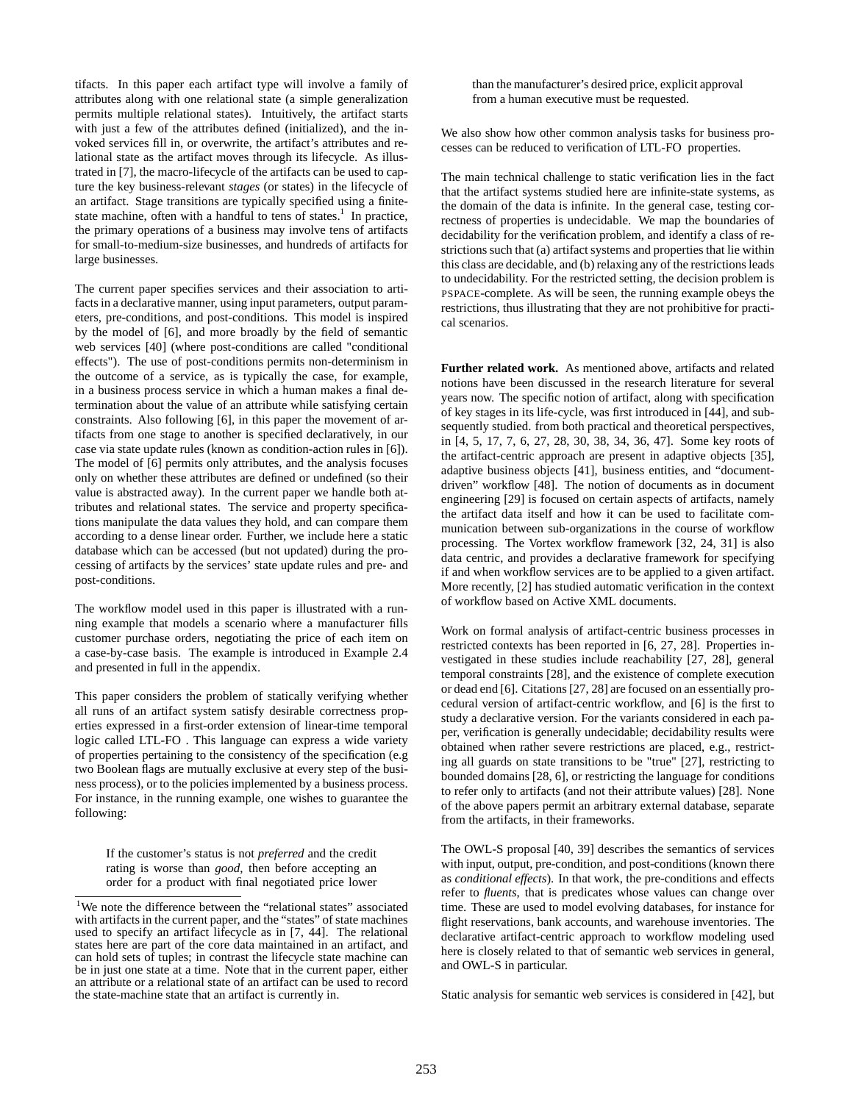tifacts. In this paper each artifact type will involve a family of attributes along with one relational state (a simple generalization permits multiple relational states). Intuitively, the artifact starts with just a few of the attributes defined (initialized), and the invoked services fill in, or overwrite, the artifact's attributes and relational state as the artifact moves through its lifecycle. As illustrated in [7], the macro-lifecycle of the artifacts can be used to capture the key business-relevant *stages* (or states) in the lifecycle of an artifact. Stage transitions are typically specified using a finitestate machine, often with a handful to tens of states.<sup>1</sup> In practice, the primary operations of a business may involve tens of artifacts for small-to-medium-size businesses, and hundreds of artifacts for large businesses.

The current paper specifies services and their association to artifacts in a declarative manner, using input parameters, output parameters, pre-conditions, and post-conditions. This model is inspired by the model of [6], and more broadly by the field of semantic web services [40] (where post-conditions are called "conditional effects"). The use of post-conditions permits non-determinism in the outcome of a service, as is typically the case, for example, in a business process service in which a human makes a final determination about the value of an attribute while satisfying certain constraints. Also following [6], in this paper the movement of artifacts from one stage to another is specified declaratively, in our case via state update rules (known as condition-action rules in [6]). The model of [6] permits only attributes, and the analysis focuses only on whether these attributes are defined or undefined (so their value is abstracted away). In the current paper we handle both attributes and relational states. The service and property specifications manipulate the data values they hold, and can compare them according to a dense linear order. Further, we include here a static database which can be accessed (but not updated) during the processing of artifacts by the services' state update rules and pre- and post-conditions.

The workflow model used in this paper is illustrated with a running example that models a scenario where a manufacturer fills customer purchase orders, negotiating the price of each item on a case-by-case basis. The example is introduced in Example 2.4 and presented in full in the appendix.

This paper considers the problem of statically verifying whether all runs of an artifact system satisfy desirable correctness properties expressed in a first-order extension of linear-time temporal logic called LTL-FO . This language can express a wide variety of properties pertaining to the consistency of the specification (e.g two Boolean flags are mutually exclusive at every step of the business process), or to the policies implemented by a business process. For instance, in the running example, one wishes to guarantee the following:

If the customer's status is not *preferred* and the credit rating is worse than *good*, then before accepting an order for a product with final negotiated price lower

than the manufacturer's desired price, explicit approval from a human executive must be requested.

We also show how other common analysis tasks for business processes can be reduced to verification of LTL-FO properties.

The main technical challenge to static verification lies in the fact that the artifact systems studied here are infinite-state systems, as the domain of the data is infinite. In the general case, testing correctness of properties is undecidable. We map the boundaries of decidability for the verification problem, and identify a class of restrictions such that (a) artifact systems and properties that lie within this class are decidable, and (b) relaxing any of the restrictions leads to undecidability. For the restricted setting, the decision problem is PSPACE-complete. As will be seen, the running example obeys the restrictions, thus illustrating that they are not prohibitive for practical scenarios.

**Further related work.** As mentioned above, artifacts and related notions have been discussed in the research literature for several years now. The specific notion of artifact, along with specification of key stages in its life-cycle, was first introduced in [44], and subsequently studied. from both practical and theoretical perspectives, in [4, 5, 17, 7, 6, 27, 28, 30, 38, 34, 36, 47]. Some key roots of the artifact-centric approach are present in adaptive objects [35], adaptive business objects [41], business entities, and "documentdriven" workflow [48]. The notion of documents as in document engineering [29] is focused on certain aspects of artifacts, namely the artifact data itself and how it can be used to facilitate communication between sub-organizations in the course of workflow processing. The Vortex workflow framework [32, 24, 31] is also data centric, and provides a declarative framework for specifying if and when workflow services are to be applied to a given artifact. More recently, [2] has studied automatic verification in the context of workflow based on Active XML documents.

Work on formal analysis of artifact-centric business processes in restricted contexts has been reported in [6, 27, 28]. Properties investigated in these studies include reachability [27, 28], general temporal constraints [28], and the existence of complete execution or dead end [6]. Citations [27, 28] are focused on an essentially procedural version of artifact-centric workflow, and [6] is the first to study a declarative version. For the variants considered in each paper, verification is generally undecidable; decidability results were obtained when rather severe restrictions are placed, e.g., restricting all guards on state transitions to be "true" [27], restricting to bounded domains [28, 6], or restricting the language for conditions to refer only to artifacts (and not their attribute values) [28]. None of the above papers permit an arbitrary external database, separate from the artifacts, in their frameworks.

The OWL-S proposal [40, 39] describes the semantics of services with input, output, pre-condition, and post-conditions (known there as *conditional effects*). In that work, the pre-conditions and effects refer to *fluents*, that is predicates whose values can change over time. These are used to model evolving databases, for instance for flight reservations, bank accounts, and warehouse inventories. The declarative artifact-centric approach to workflow modeling used here is closely related to that of semantic web services in general, and OWL-S in particular.

Static analysis for semantic web services is considered in [42], but

<sup>&</sup>lt;sup>1</sup>We note the difference between the "relational states" associated with artifacts in the current paper, and the "states" of state machines used to specify an artifact lifecycle as in [7, 44]. The relational states here are part of the core data maintained in an artifact, and can hold sets of tuples; in contrast the lifecycle state machine can be in just one state at a time. Note that in the current paper, either an attribute or a relational state of an artifact can be used to record the state-machine state that an artifact is currently in.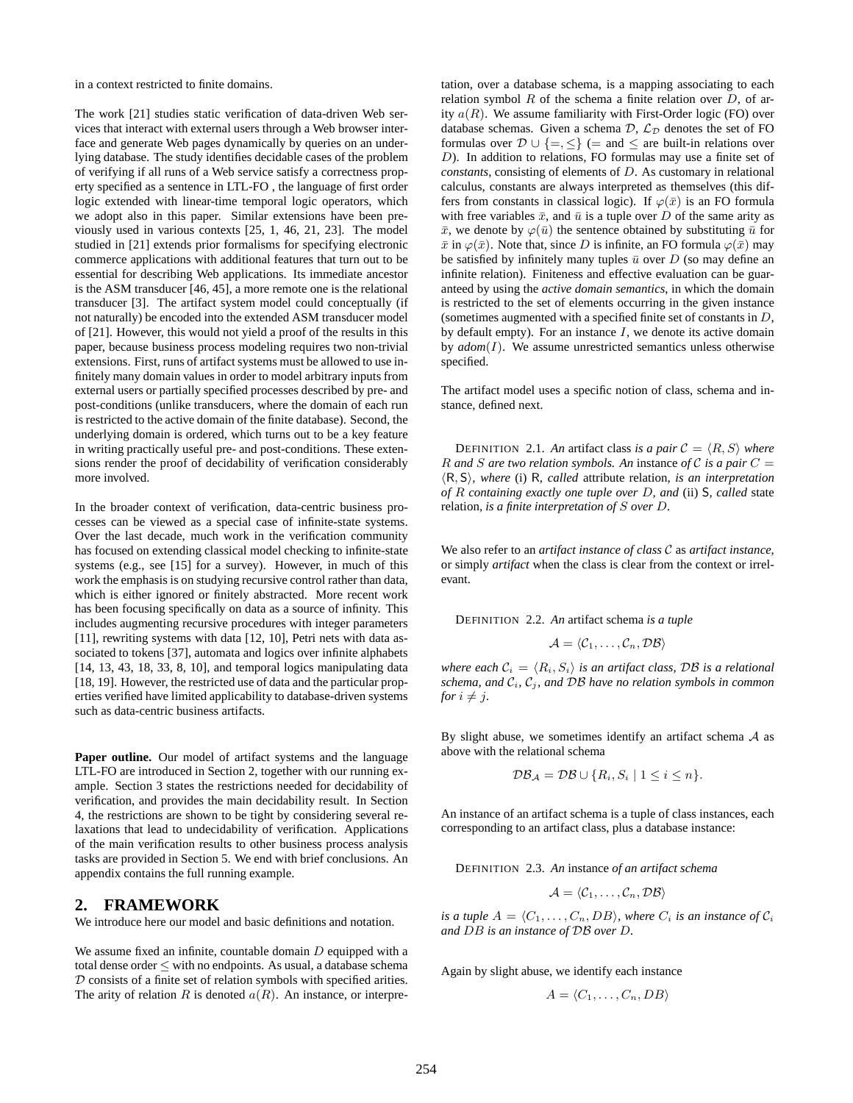in a context restricted to finite domains.

The work [21] studies static verification of data-driven Web services that interact with external users through a Web browser interface and generate Web pages dynamically by queries on an underlying database. The study identifies decidable cases of the problem of verifying if all runs of a Web service satisfy a correctness property specified as a sentence in LTL-FO , the language of first order logic extended with linear-time temporal logic operators, which we adopt also in this paper. Similar extensions have been previously used in various contexts [25, 1, 46, 21, 23]. The model studied in [21] extends prior formalisms for specifying electronic commerce applications with additional features that turn out to be essential for describing Web applications. Its immediate ancestor is the ASM transducer [46, 45], a more remote one is the relational transducer [3]. The artifact system model could conceptually (if not naturally) be encoded into the extended ASM transducer model of [21]. However, this would not yield a proof of the results in this paper, because business process modeling requires two non-trivial extensions. First, runs of artifact systems must be allowed to use infinitely many domain values in order to model arbitrary inputs from external users or partially specified processes described by pre- and post-conditions (unlike transducers, where the domain of each run is restricted to the active domain of the finite database). Second, the underlying domain is ordered, which turns out to be a key feature in writing practically useful pre- and post-conditions. These extensions render the proof of decidability of verification considerably more involved.

In the broader context of verification, data-centric business processes can be viewed as a special case of infinite-state systems. Over the last decade, much work in the verification community has focused on extending classical model checking to infinite-state systems (e.g., see [15] for a survey). However, in much of this work the emphasis is on studying recursive control rather than data, which is either ignored or finitely abstracted. More recent work has been focusing specifically on data as a source of infinity. This includes augmenting recursive procedures with integer parameters [11], rewriting systems with data [12, 10], Petri nets with data associated to tokens [37], automata and logics over infinite alphabets [14, 13, 43, 18, 33, 8, 10], and temporal logics manipulating data [18, 19]. However, the restricted use of data and the particular properties verified have limited applicability to database-driven systems such as data-centric business artifacts.

Paper outline. Our model of artifact systems and the language LTL-FO are introduced in Section 2, together with our running example. Section 3 states the restrictions needed for decidability of verification, and provides the main decidability result. In Section 4, the restrictions are shown to be tight by considering several relaxations that lead to undecidability of verification. Applications of the main verification results to other business process analysis tasks are provided in Section 5. We end with brief conclusions. An appendix contains the full running example.

#### **2. FRAMEWORK**

We introduce here our model and basic definitions and notation.

We assume fixed an infinite, countable domain  $D$  equipped with a total dense order ≤ with no endpoints. As usual, a database schema  $D$  consists of a finite set of relation symbols with specified arities. The arity of relation R is denoted  $a(R)$ . An instance, or interpretation, over a database schema, is a mapping associating to each relation symbol  $R$  of the schema a finite relation over  $D$ , of arity  $a(R)$ . We assume familiarity with First-Order logic (FO) over database schemas. Given a schema  $\mathcal{D}, \mathcal{L}_{\mathcal{D}}$  denotes the set of FO formulas over  $\mathcal{D} \cup \{ =, \leq \}$  (= and  $\leq$  are built-in relations over D). In addition to relations, FO formulas may use a finite set of *constants*, consisting of elements of D. As customary in relational calculus, constants are always interpreted as themselves (this differs from constants in classical logic). If  $\varphi(\bar{x})$  is an FO formula with free variables  $\bar{x}$ , and  $\bar{u}$  is a tuple over D of the same arity as  $\bar{x}$ , we denote by  $\varphi(\bar{u})$  the sentence obtained by substituting  $\bar{u}$  for  $\bar{x}$  in  $\varphi(\bar{x})$ . Note that, since D is infinite, an FO formula  $\varphi(\bar{x})$  may be satisfied by infinitely many tuples  $\bar{u}$  over D (so may define an infinite relation). Finiteness and effective evaluation can be guaranteed by using the *active domain semantics*, in which the domain is restricted to the set of elements occurring in the given instance (sometimes augmented with a specified finite set of constants in  $D$ , by default empty). For an instance  $I$ , we denote its active domain by *adom*(I). We assume unrestricted semantics unless otherwise specified.

The artifact model uses a specific notion of class, schema and instance, defined next.

**DEFINITION** 2.1. An artifact class is a pair  $C = \langle R, S \rangle$  where R and S are two relation symbols. An instance of C is a pair  $C =$ hR, Si*, where* (i) R*, called* attribute relation*, is an interpretation of* R *containing exactly one tuple over* D*, and* (ii) S*, called* state relation*, is a finite interpretation of* S *over* D*.*

We also refer to an *artifact instance of class* C as *artifact instance*, or simply *artifact* when the class is clear from the context or irrelevant.

DEFINITION 2.2. *An* artifact schema *is a tuple*

$$
\mathcal{A} = \langle \mathcal{C}_1, \ldots, \mathcal{C}_n, \mathcal{DB} \rangle
$$

*where each*  $C_i = \langle R_i, S_i \rangle$  *is an artifact class,* DB *is a relational schema, and*  $C_i$ ,  $C_j$ *, and*  $DB$  *have no relation symbols in common for*  $i \neq j$ *.* 

By slight abuse, we sometimes identify an artifact schema  $A$  as above with the relational schema

$$
\mathcal{DB}_{\mathcal{A}} = \mathcal{DB} \cup \{ R_i, S_i \mid 1 \leq i \leq n \}.
$$

An instance of an artifact schema is a tuple of class instances, each corresponding to an artifact class, plus a database instance:

DEFINITION 2.3. *An* instance *of an artifact schema*

$$
\mathcal{A} = \langle \mathcal{C}_1, \ldots, \mathcal{C}_n, \mathcal{DB} \rangle
$$

*is a tuple*  $A = \langle C_1, \ldots, C_n, DB \rangle$ *, where*  $C_i$  *is an instance of*  $C_i$ *and* DB *is an instance of* DB *over* D*.*

Again by slight abuse, we identify each instance

$$
A = \langle C_1, \ldots, C_n, DB \rangle
$$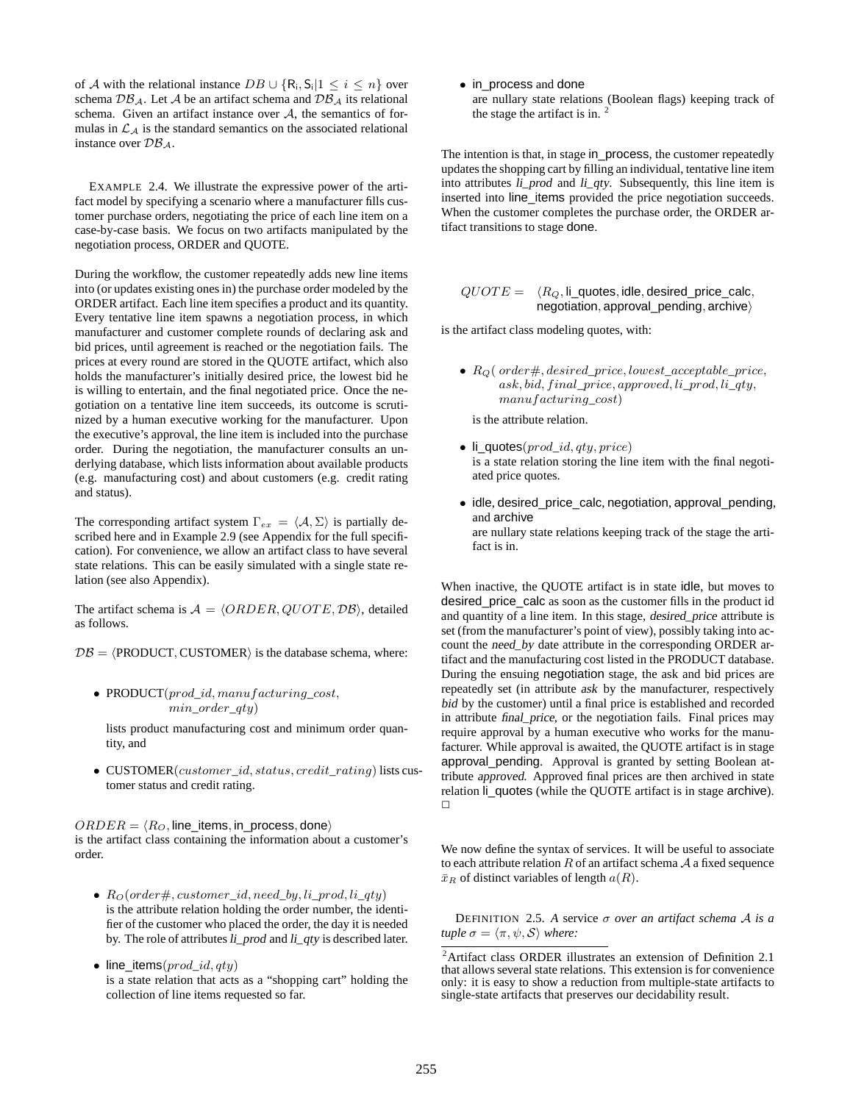of A with the relational instance  $DB \cup \{R_i, S_i | 1 \leq i \leq n\}$  over schema  $\mathcal{DB}_{\mathcal{A}}$ . Let  $\mathcal A$  be an artifact schema and  $\mathcal{DB}_{\mathcal{A}}$  its relational schema. Given an artifact instance over  $A$ , the semantics of formulas in  $\mathcal{L}_A$  is the standard semantics on the associated relational instance over  $\mathcal{DB}_\mathcal{A}$ .

EXAMPLE 2.4. We illustrate the expressive power of the artifact model by specifying a scenario where a manufacturer fills customer purchase orders, negotiating the price of each line item on a case-by-case basis. We focus on two artifacts manipulated by the negotiation process, ORDER and QUOTE.

During the workflow, the customer repeatedly adds new line items into (or updates existing ones in) the purchase order modeled by the ORDER artifact. Each line item specifies a product and its quantity. Every tentative line item spawns a negotiation process, in which manufacturer and customer complete rounds of declaring ask and bid prices, until agreement is reached or the negotiation fails. The prices at every round are stored in the QUOTE artifact, which also holds the manufacturer's initially desired price, the lowest bid he is willing to entertain, and the final negotiated price. Once the negotiation on a tentative line item succeeds, its outcome is scrutinized by a human executive working for the manufacturer. Upon the executive's approval, the line item is included into the purchase order. During the negotiation, the manufacturer consults an underlying database, which lists information about available products (e.g. manufacturing cost) and about customers (e.g. credit rating and status).

The corresponding artifact system  $\Gamma_{ex} = \langle A, \Sigma \rangle$  is partially described here and in Example 2.9 (see Appendix for the full specification). For convenience, we allow an artifact class to have several state relations. This can be easily simulated with a single state relation (see also Appendix).

The artifact schema is  $A = \langle ORDER, QUOTE, DB \rangle$ , detailed as follows.

 $\mathcal{DB} = \langle \text{PRODUCT}, \text{CUSTOMER} \rangle$  is the database schema, where:

• PRODUCT(prod\_id, manufacturing\_cost, min\_order\_qty)

lists product manufacturing cost and minimum order quantity, and

• CUSTOMER(customer\_id, status, credit\_rating) lists customer status and credit rating.

 $ORDER = \langle R_O$ , line\_items, in\_process, done) is the artifact class containing the information about a customer's order.

- $R_O(order \#, customer\_id, need\_by, li\_prod, li\_qty)$ is the attribute relation holding the order number, the identifier of the customer who placed the order, the day it is needed by. The role of attributes li\_prod and li\_qty is described later.
- line\_items( $prod_id,qty$ ) is a state relation that acts as a "shopping cart" holding the collection of line items requested so far.

• in\_process and done are nullary state relations (Boolean flags) keeping track of the stage the artifact is in.  $2$ 

The intention is that, in stage in\_process, the customer repeatedly updates the shopping cart by filling an individual, tentative line item into attributes li\_prod and li\_qty. Subsequently, this line item is inserted into line\_items provided the price negotiation succeeds. When the customer completes the purchase order, the ORDER artifact transitions to stage done.

$$
QUOTE = \langle R_Q, \text{li\_quotes}, \text{idle}, \text{desired\_price\_calc}, \\ \text{negotiation}, \text{approval\_pending}, \text{archive} \rangle
$$

is the artifact class modeling quotes, with:

•  $R_O$  (order  $\#$ , desired\_price, lowest\_acceptable\_price,  $ask, bid, final\_price, approved, li\_prod, lit\_qty,$ manufacturing\_cost)

is the attribute relation.

- li\_quotes $(pred\_id, qty, price)$ is a state relation storing the line item with the final negotiated price quotes.
- idle, desired\_price\_calc, negotiation, approval\_pending, and archive are nullary state relations keeping track of the stage the artifact is in.

When inactive, the QUOTE artifact is in state idle, but moves to desired\_price\_calc as soon as the customer fills in the product id and quantity of a line item. In this stage, desired\_price attribute is set (from the manufacturer's point of view), possibly taking into account the need\_by date attribute in the corresponding ORDER artifact and the manufacturing cost listed in the PRODUCT database. During the ensuing negotiation stage, the ask and bid prices are repeatedly set (in attribute ask by the manufacturer, respectively bid by the customer) until a final price is established and recorded in attribute final\_price, or the negotiation fails. Final prices may require approval by a human executive who works for the manufacturer. While approval is awaited, the QUOTE artifact is in stage approval\_pending. Approval is granted by setting Boolean attribute approved. Approved final prices are then archived in state relation li\_quotes (while the QUOTE artifact is in stage archive).  $\Box$ 

We now define the syntax of services. It will be useful to associate to each attribute relation  $R$  of an artifact schema  $A$  a fixed sequence  $\bar{x}_R$  of distinct variables of length  $a(R)$ .

DEFINITION 2.5. *A* service σ *over an artifact schema* A *is a tuple*  $\sigma = \langle \pi, \psi, \mathcal{S} \rangle$  *where:* 

<sup>2</sup>Artifact class ORDER illustrates an extension of Definition 2.1 that allows several state relations. This extension is for convenience only: it is easy to show a reduction from multiple-state artifacts to single-state artifacts that preserves our decidability result.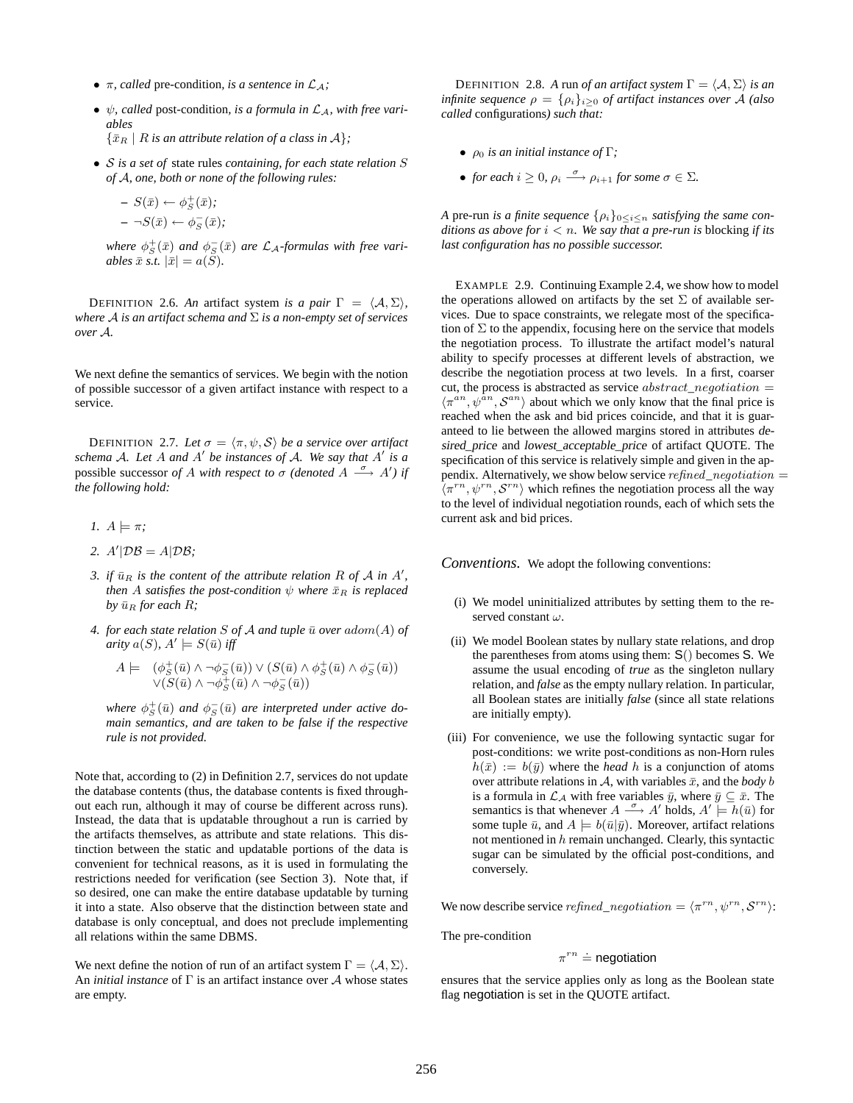- $\pi$ *, called* pre-condition*, is a sentence in*  $\mathcal{L}_\mathcal{A}$ *;*
- $\psi$ *, called* post-condition, is a formula in  $\mathcal{L}_A$ *, with free variables*

 $\{\bar{x}_R \mid R \text{ is an attribute relation of a class in } \mathcal{A}\}.$ 

• S *is a set of* state rules *containing, for each state relation* S *of* A*, one, both or none of the following rules:*

$$
- S(\bar{x}) \leftarrow \phi_S^+(\bar{x});
$$
  

$$
- \neg S(\bar{x}) \leftarrow \phi_S^-(\bar{x});
$$

where  $\phi^+_S(\bar{x})$  and  $\phi^-_S(\bar{x})$  are  $\mathcal{L}_\mathcal{A}$ -formulas with free vari*ables*  $\bar{x}$  *s.t.*  $|\bar{x}| = a(\tilde{S})$ *.* 

DEFINITION 2.6. An artifact system *is a pair*  $\Gamma = \langle A, \Sigma \rangle$ , *where* A *is an artifact schema and* Σ *is a non-empty set of services over* A*.*

We next define the semantics of services. We begin with the notion of possible successor of a given artifact instance with respect to a service.

**DEFINITION** 2.7. Let  $\sigma = \langle \pi, \psi, \mathcal{S} \rangle$  be a service over artifact *schema* A*. Let* A *and* A ′ *be instances of* A*. We say that* A ′ *is a* possible successor *of* A *with respect to*  $\sigma$  *(denoted*  $A \stackrel{\sigma}{\longrightarrow} A'$ *) if the following hold:*

- *1.*  $A \models \pi$ ;
- 2.  $A'|\mathcal{DB} = A|\mathcal{DB};$
- *3. if*  $\bar{u}_R$  *is the content of the attribute relation*  $R$  *of*  $A$  *in*  $A'$ *, then* A *satisfies the post-condition*  $\psi$  *where*  $\bar{x}_R$  *is replaced by*  $\bar{u}_R$  *for each*  $R$ *;*
- 4. for each state relation *S* of *A* and tuple  $\bar{u}$  over  $adom(A)$  of  $arity\ a(S),\ A'\models S(\bar{u})\ iff$

$$
A \models (\phi_S^+(\bar{u}) \land \neg \phi_S^-(\bar{u})) \lor (S(\bar{u}) \land \phi_S^+(\bar{u}) \land \phi_S^-(\bar{u})) \lor (S(\bar{u}) \land \neg \phi_S^+(\bar{u}) \land \neg \phi_S^-(\bar{u}))
$$

where  $\phi^+_S(\bar u)$  and  $\phi^-_S(\bar u)$  are interpreted under active do*main semantics, and are taken to be false if the respective rule is not provided.*

Note that, according to (2) in Definition 2.7, services do not update the database contents (thus, the database contents is fixed throughout each run, although it may of course be different across runs). Instead, the data that is updatable throughout a run is carried by the artifacts themselves, as attribute and state relations. This distinction between the static and updatable portions of the data is convenient for technical reasons, as it is used in formulating the restrictions needed for verification (see Section 3). Note that, if so desired, one can make the entire database updatable by turning it into a state. Also observe that the distinction between state and database is only conceptual, and does not preclude implementing all relations within the same DBMS.

We next define the notion of run of an artifact system  $\Gamma = \langle A, \Sigma \rangle$ . An *initial instance* of Γ is an artifact instance over A whose states are empty.

**DEFINITION** 2.8. A run *of an artifact system*  $\Gamma = \langle A, \Sigma \rangle$  *is an infinite sequence*  $\rho = {\rho_i}_{i \geq 0}$  *of artifact instances over* A *(also called* configurations*) such that:*

- $\rho_0$  *is an initial instance of*  $\Gamma$ *;*
- *for each*  $i \geq 0$ ,  $\rho_i \stackrel{\sigma}{\longrightarrow} \rho_{i+1}$  *for some*  $\sigma \in \Sigma$ *.*

*A* pre-run *is a finite sequence*  $\{\rho_i\}_{0 \leq i \leq n}$  *satisfying the same conditions as above for*  $i < n$ *. We say that a pre-run is blocking if its last configuration has no possible successor.*

EXAMPLE 2.9. Continuing Example 2.4, we show how to model the operations allowed on artifacts by the set  $\Sigma$  of available services. Due to space constraints, we relegate most of the specification of  $\Sigma$  to the appendix, focusing here on the service that models the negotiation process. To illustrate the artifact model's natural ability to specify processes at different levels of abstraction, we describe the negotiation process at two levels. In a first, coarser cut, the process is abstracted as service  $abstract\_negotiation =$  $\langle \pi^{an}, \psi^{an}, \mathcal{S}^{an} \rangle$  about which we only know that the final price is reached when the ask and bid prices coincide, and that it is guaranteed to lie between the allowed margins stored in attributes desired\_price and lowest\_acceptable\_price of artifact QUOTE. The specification of this service is relatively simple and given in the appendix. Alternatively, we show below service *refined* negotiation  $=$  $\langle \pi^{rn}, \psi^{rn}, \mathcal{S}^{rn} \rangle$  which refines the negotiation process all the way to the level of individual negotiation rounds, each of which sets the current ask and bid prices.

*Conventions.* We adopt the following conventions:

- (i) We model uninitialized attributes by setting them to the reserved constant  $\omega$ .
- (ii) We model Boolean states by nullary state relations, and drop the parentheses from atoms using them: S() becomes S. We assume the usual encoding of *true* as the singleton nullary relation, and *false* as the empty nullary relation. In particular, all Boolean states are initially *false* (since all state relations are initially empty).
- (iii) For convenience, we use the following syntactic sugar for post-conditions: we write post-conditions as non-Horn rules  $h(\bar{x}) := b(\bar{y})$  where the *head* h is a conjunction of atoms over attribute relations in A, with variables  $\bar{x}$ , and the *body* b is a formula in  $\mathcal{L}_A$  with free variables  $\bar{y}$ , where  $\bar{y} \subseteq \bar{x}$ . The semantics is that whenever  $A \stackrel{\sigma}{\longrightarrow} A'$  holds,  $A' \stackrel{\rightharpoonup}{\models} h(\bar{u})$  for some tuple  $\bar{u}$ , and  $A \models b(\bar{u}|\bar{y})$ . Moreover, artifact relations not mentioned in  $h$  remain unchanged. Clearly, this syntactic sugar can be simulated by the official post-conditions, and conversely.

We now describe service *refined\_negotiation* =  $\langle \pi^{rn}, \psi^{rn}, \mathcal{S}^{rn} \rangle$ :

The pre-condition

## $\pi^{rn} \doteq$  negotiation

ensures that the service applies only as long as the Boolean state flag negotiation is set in the QUOTE artifact.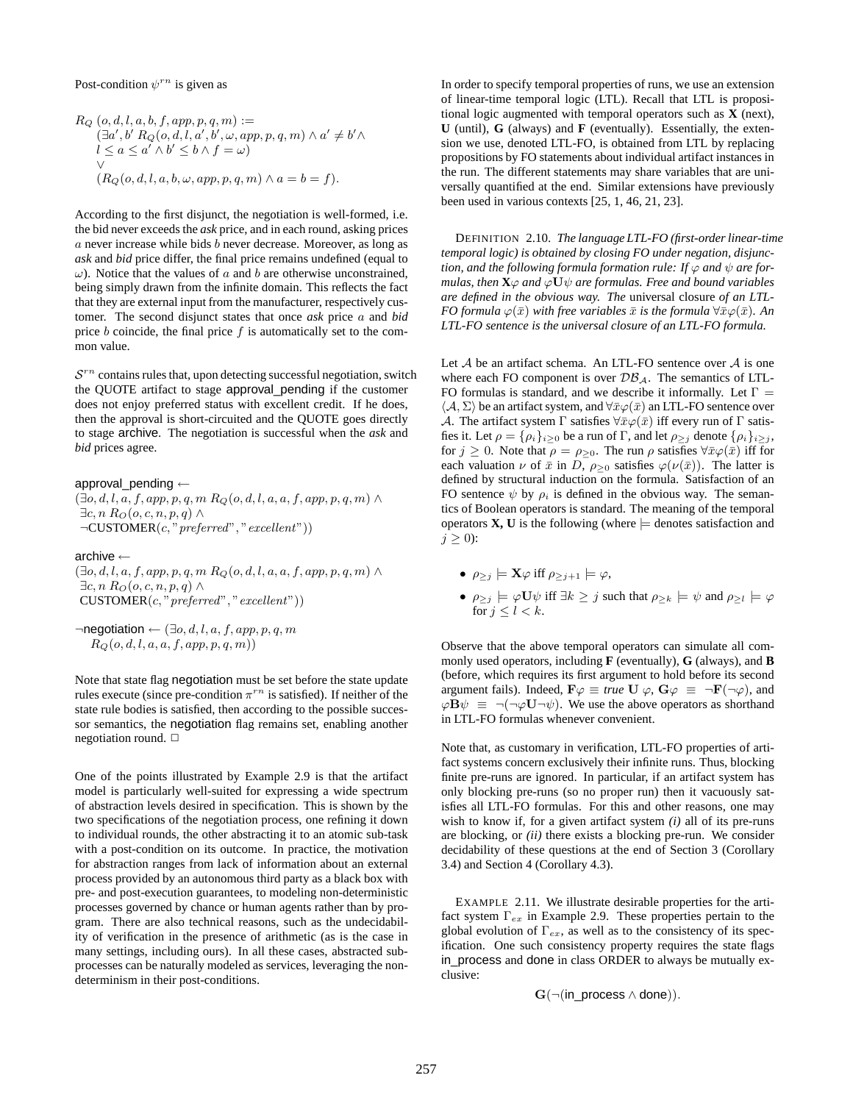#### Post-condition  $\psi^{rn}$  is given as

$$
R_Q(o, d, l, a, b, f, app, p, q, m) :=
$$
  
\n
$$
(\exists a', b' R_Q(o, d, l, a', b', \omega, app, p, q, m) \land a' \neq b' \land
$$
  
\n
$$
l \leq a \leq a' \land b' \leq b \land f = \omega)
$$
  
\n
$$
\lor
$$
  
\n
$$
(R_Q(o, d, l, a, b, \omega, app, p, q, m) \land a = b = f).
$$

According to the first disjunct, the negotiation is well-formed, i.e. the bid never exceeds the *ask* price, and in each round, asking prices a never increase while bids b never decrease. Moreover, as long as *ask* and *bid* price differ, the final price remains undefined (equal to  $\omega$ ). Notice that the values of a and b are otherwise unconstrained, being simply drawn from the infinite domain. This reflects the fact that they are external input from the manufacturer, respectively customer. The second disjunct states that once *ask* price a and *bid* price  $b$  coincide, the final price  $f$  is automatically set to the common value.

 $S<sup>rn</sup>$  contains rules that, upon detecting successful negotiation, switch the QUOTE artifact to stage approval\_pending if the customer does not enjoy preferred status with excellent credit. If he does, then the approval is short-circuited and the QUOTE goes directly to stage archive. The negotiation is successful when the *ask* and *bid* prices agree.

approval\_pending ←  $(\exists o, d, l, a, f, app, p, q, m R_Q(o, d, l, a, a, f, app, p, q, m) \wedge$  $\exists c, n \, R_O(o, c, n, p, q) \land$  $\neg$ CUSTOMER $(c, "perfect", "excellent"))$ 

archive ←

 $(\exists o, d, l, a, f, app, p, q, m R_Q(o, d, l, a, a, f, app, p, q, m) \wedge$  $\exists c, n \, R_O(o, c, n, p, q) \land$  $CUSTOMER(c, "perfect", "excellent"))$ 

 $\neg$ negotiation ←  $(\exists o, d, l, a, f, app, p, q, m)$  $R_Q(o, d, l, a, a, f, app, p, q, m))$ 

Note that state flag negotiation must be set before the state update rules execute (since pre-condition  $\pi^{rn}$  is satisfied). If neither of the state rule bodies is satisfied, then according to the possible successor semantics, the negotiation flag remains set, enabling another negotiation round.  $\Box$ 

One of the points illustrated by Example 2.9 is that the artifact model is particularly well-suited for expressing a wide spectrum of abstraction levels desired in specification. This is shown by the two specifications of the negotiation process, one refining it down to individual rounds, the other abstracting it to an atomic sub-task with a post-condition on its outcome. In practice, the motivation for abstraction ranges from lack of information about an external process provided by an autonomous third party as a black box with pre- and post-execution guarantees, to modeling non-deterministic processes governed by chance or human agents rather than by program. There are also technical reasons, such as the undecidability of verification in the presence of arithmetic (as is the case in many settings, including ours). In all these cases, abstracted subprocesses can be naturally modeled as services, leveraging the nondeterminism in their post-conditions.

In order to specify temporal properties of runs, we use an extension of linear-time temporal logic (LTL). Recall that LTL is propositional logic augmented with temporal operators such as **X** (next), **U** (until), **G** (always) and **F** (eventually). Essentially, the extension we use, denoted LTL-FO, is obtained from LTL by replacing propositions by FO statements about individual artifact instances in the run. The different statements may share variables that are universally quantified at the end. Similar extensions have previously been used in various contexts [25, 1, 46, 21, 23].

DEFINITION 2.10. *The language LTL-FO (first-order linear-time temporal logic) is obtained by closing FO under negation, disjunction, and the following formula formation rule: If*  $\varphi$  *and*  $\psi$  *are formulas, then*  $\mathbf{X}\varphi$  *and*  $\varphi \mathbf{U}\psi$  *are formulas. Free and bound variables are defined in the obvious way. The* universal closure *of an LTL-FO formula*  $\varphi(\bar{x})$  *with free variables*  $\bar{x}$  *is the formula*  $\forall \bar{x} \varphi(\bar{x})$ *. An LTL-FO sentence is the universal closure of an LTL-FO formula.*

Let  $A$  be an artifact schema. An LTL-FO sentence over  $A$  is one where each FO component is over  $\mathcal{DB}_\mathcal{A}$ . The semantics of LTL-FO formulas is standard, and we describe it informally. Let  $\Gamma =$  $\langle A, \Sigma \rangle$  be an artifact system, and  $\forall \bar{x} \varphi(\bar{x})$  an LTL-FO sentence over A. The artifact system  $\Gamma$  satisfies  $\forall \bar{x} \varphi(\bar{x})$  iff every run of  $\Gamma$  satisfies it. Let  $\rho = {\rho_i}_{i>0}$  be a run of Γ, and let  $\rho_{\ge j}$  denote  ${\rho_i}_{i> j}$ , for  $j \geq 0$ . Note that  $\rho = \rho_{\geq 0}$ . The run  $\rho$  satisfies  $\forall \bar{x} \varphi(\bar{x})$  iff for each valuation  $\nu$  of  $\bar{x}$  in D,  $\rho_{\geq 0}$  satisfies  $\varphi(\nu(\bar{x}))$ . The latter is defined by structural induction on the formula. Satisfaction of an FO sentence  $\psi$  by  $\rho_i$  is defined in the obvious way. The semantics of Boolean operators is standard. The meaning of the temporal operators  $X$ ,  $U$  is the following (where  $\models$  denotes satisfaction and  $j > 0$ :

- $\rho_{\geq i} \models \mathbf{X} \varphi$  iff  $\rho_{\geq i+1} \models \varphi$ ,
- $\rho_{\geq j} \models \varphi \mathbf{U} \psi$  iff  $\exists k \geq j$  such that  $\rho_{\geq k} \models \psi$  and  $\rho_{\geq l} \models \varphi$ for  $j \leq l < k$ .

Observe that the above temporal operators can simulate all commonly used operators, including **F** (eventually), **G** (always), and **B** (before, which requires its first argument to hold before its second argument fails). Indeed,  $\mathbf{F}\varphi \equiv \text{true } \mathbf{U} \varphi, \mathbf{G}\varphi \equiv \neg \mathbf{F}(\neg \varphi)$ , and  $\varphi \mathbf{B} \psi \equiv \neg(\neg \varphi \mathbf{U} \neg \psi)$ . We use the above operators as shorthand in LTL-FO formulas whenever convenient.

Note that, as customary in verification, LTL-FO properties of artifact systems concern exclusively their infinite runs. Thus, blocking finite pre-runs are ignored. In particular, if an artifact system has only blocking pre-runs (so no proper run) then it vacuously satisfies all LTL-FO formulas. For this and other reasons, one may wish to know if, for a given artifact system *(i)* all of its pre-runs are blocking, or *(ii)* there exists a blocking pre-run. We consider decidability of these questions at the end of Section 3 (Corollary 3.4) and Section 4 (Corollary 4.3).

EXAMPLE 2.11. We illustrate desirable properties for the artifact system  $\Gamma_{ex}$  in Example 2.9. These properties pertain to the global evolution of  $\Gamma_{ex}$ , as well as to the consistency of its specification. One such consistency property requires the state flags in\_process and done in class ORDER to always be mutually exclusive:

 $G(\neg (in\_process \land done)).$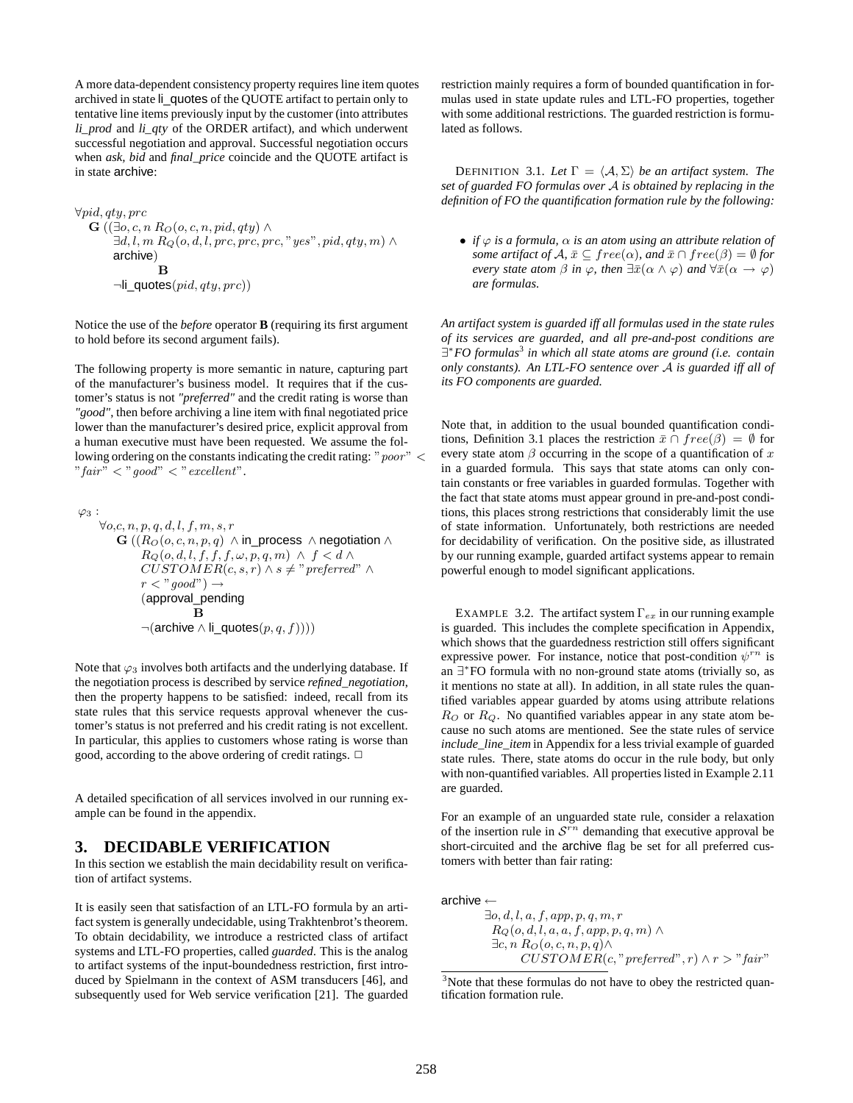A more data-dependent consistency property requires line item quotes archived in state li\_quotes of the QUOTE artifact to pertain only to tentative line items previously input by the customer (into attributes li\_prod and li\_qty of the ORDER artifact), and which underwent successful negotiation and approval. Successful negotiation occurs when *ask, bid* and *final\_price* coincide and the QUOTE artifact is in state archive:

```
∀pid,qty, prc
G ((\exists o, c, n \, R_O(o, c, n, pid, qty) \land\exists d, l, m \, R_Q(o, d, l, pre, pre, pre, "yes", pid, qty, m) \landarchive)
                B
      \negli_quotes(pid, qty, pre))
```
Notice the use of the *before* operator **B** (requiring its first argument to hold before its second argument fails).

The following property is more semantic in nature, capturing part of the manufacturer's business model. It requires that if the customer's status is not *"preferred"* and the credit rating is worse than *"good"*, then before archiving a line item with final negotiated price lower than the manufacturer's desired price, explicit approval from a human executive must have been requested. We assume the following ordering on the constants indicating the credit rating: " $poor$ " < " fair"  $\langle$  " good"  $\langle$  " excellent".

$$
\varphi_3: \\ \forall o,c,n,p,q,d,l,f,m,s,r\\ \mathbf{G} \left((R_O(o,c,n,p,q) \wedge \text{in\_process } \wedge \text{negotiation} \wedge \right. \\ R_Q(o,d,l,f,f,f,\omega,p,q,m) \wedge f < d \wedge \\ CUSTOMER(c,s,r) \wedge s \neq \text{"preferred"} \wedge \\ r < \text{"good"} \rightarrow \\ (\text{approval\_pending}\\ \mathbf{B}\\ \neg(\text{archive} \wedge \text{li\_ quotes}(p,q,f))))\\
$$

Note that  $\varphi_3$  involves both artifacts and the underlying database. If the negotiation process is described by service *refined\_negotiation*, then the property happens to be satisfied: indeed, recall from its state rules that this service requests approval whenever the customer's status is not preferred and his credit rating is not excellent. In particular, this applies to customers whose rating is worse than good, according to the above ordering of credit ratings.  $\Box$ 

A detailed specification of all services involved in our running example can be found in the appendix.

## **3. DECIDABLE VERIFICATION**

In this section we establish the main decidability result on verification of artifact systems.

It is easily seen that satisfaction of an LTL-FO formula by an artifact system is generally undecidable, using Trakhtenbrot's theorem. To obtain decidability, we introduce a restricted class of artifact systems and LTL-FO properties, called *guarded*. This is the analog to artifact systems of the input-boundedness restriction, first introduced by Spielmann in the context of ASM transducers [46], and subsequently used for Web service verification [21]. The guarded restriction mainly requires a form of bounded quantification in formulas used in state update rules and LTL-FO properties, together with some additional restrictions. The guarded restriction is formulated as follows.

**DEFINITION** 3.1. Let  $\Gamma = \langle A, \Sigma \rangle$  be an artifact system. The *set of guarded FO formulas over* A *is obtained by replacing in the definition of FO the quantification formation rule by the following:*

• *if*  $\varphi$  *is a formula,*  $\alpha$  *is an atom using an attribute relation of some artifact of*  $\mathcal{A}, \bar{x} \subseteq free(\alpha)$ *, and*  $\bar{x} \cap free(\beta) = \emptyset$  *for every state atom*  $\beta$  *in*  $\varphi$ *, then*  $\exists \bar{x}(\alpha \land \varphi)$  *and*  $\forall \bar{x}(\alpha \to \varphi)$ *are formulas.*

*An artifact system is guarded iff all formulas used in the state rules of its services are guarded, and all pre-and-post conditions are* ∃ <sup>∗</sup>*FO formulas*<sup>3</sup> *in which all state atoms are ground (i.e. contain only constants). An LTL-FO sentence over* A *is guarded iff all of its FO components are guarded.*

Note that, in addition to the usual bounded quantification conditions, Definition 3.1 places the restriction  $\bar{x} \cap free(\beta) = \emptyset$  for every state atom  $\beta$  occurring in the scope of a quantification of x in a guarded formula. This says that state atoms can only contain constants or free variables in guarded formulas. Together with the fact that state atoms must appear ground in pre-and-post conditions, this places strong restrictions that considerably limit the use of state information. Unfortunately, both restrictions are needed for decidability of verification. On the positive side, as illustrated by our running example, guarded artifact systems appear to remain powerful enough to model significant applications.

EXAMPLE 3.2. The artifact system  $\Gamma_{ex}$  in our running example is guarded. This includes the complete specification in Appendix, which shows that the guardedness restriction still offers significant expressive power. For instance, notice that post-condition  $\psi^{rn}$  is an ∃ ∗ FO formula with no non-ground state atoms (trivially so, as it mentions no state at all). In addition, in all state rules the quantified variables appear guarded by atoms using attribute relations  $R_O$  or  $R_Q$ . No quantified variables appear in any state atom because no such atoms are mentioned. See the state rules of service *include\_line\_item* in Appendix for a less trivial example of guarded state rules. There, state atoms do occur in the rule body, but only with non-quantified variables. All properties listed in Example 2.11 are guarded.

For an example of an unguarded state rule, consider a relaxation of the insertion rule in  $S^{rn}$  demanding that executive approval be short-circuited and the archive flag be set for all preferred customers with better than fair rating:

archive ←

 $\exists o, d, l, a, f, app, p, q, m, r$  $R_O(o, d, l, a, a, f, app, p, q, m) \wedge$  $\exists c, n \, R_O(o, c, n, p, q) \wedge$  $CUSTOMER(c, " preferred", r) \wedge r > "fair"$ 

 $3$ Note that these formulas do not have to obey the restricted quantification formation rule.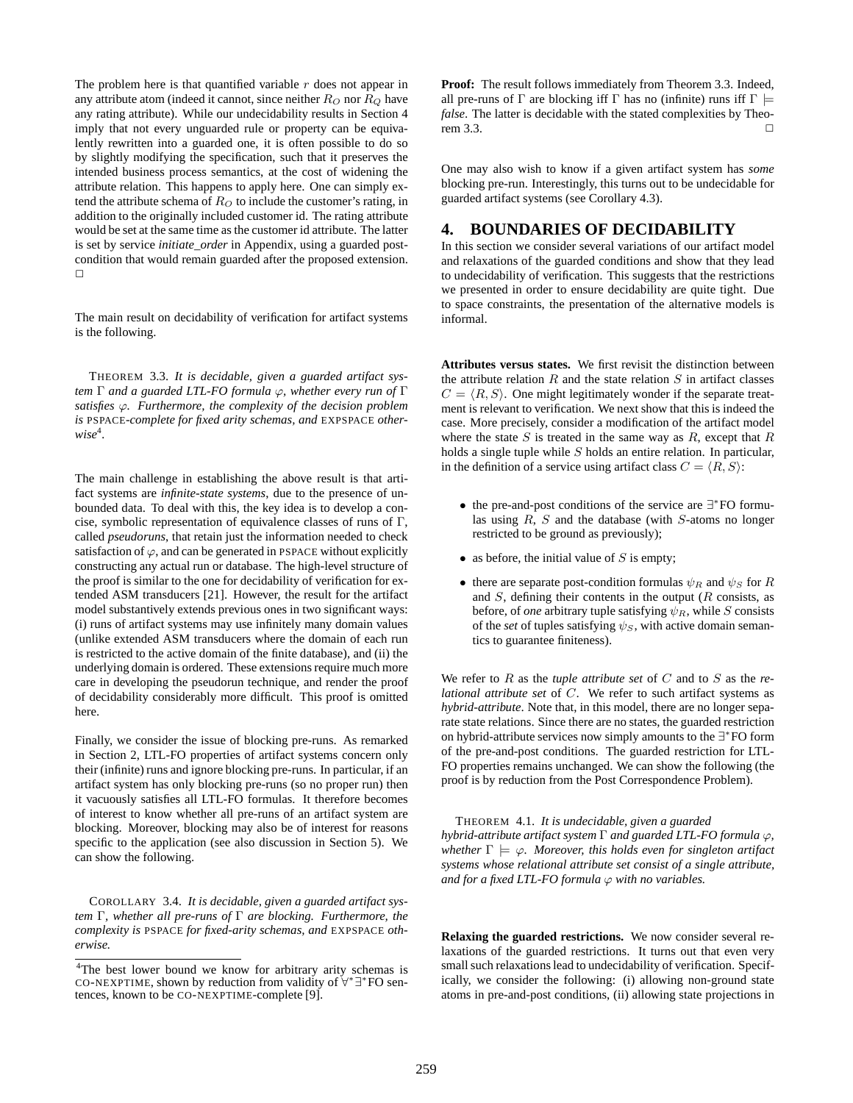The problem here is that quantified variable  $r$  does not appear in any attribute atom (indeed it cannot, since neither  $R<sub>O</sub>$  nor  $R<sub>O</sub>$  have any rating attribute). While our undecidability results in Section 4 imply that not every unguarded rule or property can be equivalently rewritten into a guarded one, it is often possible to do so by slightly modifying the specification, such that it preserves the intended business process semantics, at the cost of widening the attribute relation. This happens to apply here. One can simply extend the attribute schema of  $R<sub>O</sub>$  to include the customer's rating, in addition to the originally included customer id. The rating attribute would be set at the same time as the customer id attribute. The latter is set by service *initiate\_order* in Appendix, using a guarded postcondition that would remain guarded after the proposed extension.  $\Box$ 

The main result on decidability of verification for artifact systems is the following.

THEOREM 3.3. *It is decidable, given a guarded artifact system* Γ *and a guarded LTL-FO formula* ϕ*, whether every run of* Γ *satisfies* ϕ*. Furthermore, the complexity of the decision problem is* PSPACE*-complete for fixed arity schemas, and* EXPSPACE *other* $wise^4$ .

The main challenge in establishing the above result is that artifact systems are *infinite-state systems*, due to the presence of unbounded data. To deal with this, the key idea is to develop a concise, symbolic representation of equivalence classes of runs of Γ, called *pseudoruns*, that retain just the information needed to check satisfaction of  $\varphi$ , and can be generated in PSPACE without explicitly constructing any actual run or database. The high-level structure of the proof is similar to the one for decidability of verification for extended ASM transducers [21]. However, the result for the artifact model substantively extends previous ones in two significant ways: (i) runs of artifact systems may use infinitely many domain values (unlike extended ASM transducers where the domain of each run is restricted to the active domain of the finite database), and (ii) the underlying domain is ordered. These extensions require much more care in developing the pseudorun technique, and render the proof of decidability considerably more difficult. This proof is omitted here.

Finally, we consider the issue of blocking pre-runs. As remarked in Section 2, LTL-FO properties of artifact systems concern only their (infinite) runs and ignore blocking pre-runs. In particular, if an artifact system has only blocking pre-runs (so no proper run) then it vacuously satisfies all LTL-FO formulas. It therefore becomes of interest to know whether all pre-runs of an artifact system are blocking. Moreover, blocking may also be of interest for reasons specific to the application (see also discussion in Section 5). We can show the following.

COROLLARY 3.4. *It is decidable, given a guarded artifact system* Γ*, whether all pre-runs of* Γ *are blocking. Furthermore, the complexity is* PSPACE *for fixed-arity schemas, and* EXPSPACE *otherwise.*

**Proof:** The result follows immediately from Theorem 3.3. Indeed, all pre-runs of  $\Gamma$  are blocking iff  $\Gamma$  has no (infinite) runs iff  $\Gamma \models$ *false*. The latter is decidable with the stated complexities by Theo $r$ em 3.3.

One may also wish to know if a given artifact system has *some* blocking pre-run. Interestingly, this turns out to be undecidable for guarded artifact systems (see Corollary 4.3).

## **4. BOUNDARIES OF DECIDABILITY**

In this section we consider several variations of our artifact model and relaxations of the guarded conditions and show that they lead to undecidability of verification. This suggests that the restrictions we presented in order to ensure decidability are quite tight. Due to space constraints, the presentation of the alternative models is informal.

**Attributes versus states.** We first revisit the distinction between the attribute relation  $R$  and the state relation  $S$  in artifact classes  $C = \langle R, S \rangle$ . One might legitimately wonder if the separate treatment is relevant to verification. We next show that this is indeed the case. More precisely, consider a modification of the artifact model where the state  $S$  is treated in the same way as  $R$ , except that  $R$ holds a single tuple while S holds an entire relation. In particular, in the definition of a service using artifact class  $C = \langle R, S \rangle$ :

- the pre-and-post conditions of the service are ∃ ∗ FO formulas using  $R$ ,  $S$  and the database (with  $S$ -atoms no longer restricted to be ground as previously);
- as before, the initial value of  $S$  is empty;
- there are separate post-condition formulas  $\psi_R$  and  $\psi_S$  for R and  $S$ , defining their contents in the output  $(R \text{ consists, as})$ before, of *one* arbitrary tuple satisfying  $\psi_R$ , while S consists of the *set* of tuples satisfying  $\psi_s$ , with active domain semantics to guarantee finiteness).

We refer to R as the *tuple attribute set* of C and to S as the *relational attribute set* of C. We refer to such artifact systems as *hybrid-attribute*. Note that, in this model, there are no longer separate state relations. Since there are no states, the guarded restriction on hybrid-attribute services now simply amounts to the ∃\*FO form of the pre-and-post conditions. The guarded restriction for LTL-FO properties remains unchanged. We can show the following (the proof is by reduction from the Post Correspondence Problem).

THEOREM 4.1. *It is undecidable, given a guarded hybrid-attribute artifact system* Γ *and guarded LTL-FO formula* ϕ*, whether*  $\Gamma \models \varphi$ *. Moreover, this holds even for singleton artifact systems whose relational attribute set consist of a single attribute, and for a fixed LTL-FO formula*  $\varphi$  *with no variables.* 

**Relaxing the guarded restrictions.** We now consider several relaxations of the guarded restrictions. It turns out that even very small such relaxations lead to undecidability of verification. Specifically, we consider the following: (i) allowing non-ground state atoms in pre-and-post conditions, (ii) allowing state projections in

<sup>4</sup>The best lower bound we know for arbitrary arity schemas is CO-NEXPTIME, shown by reduction from validity of ∀\*∃\*FO sentences, known to be CO-NEXPTIME-complete [9].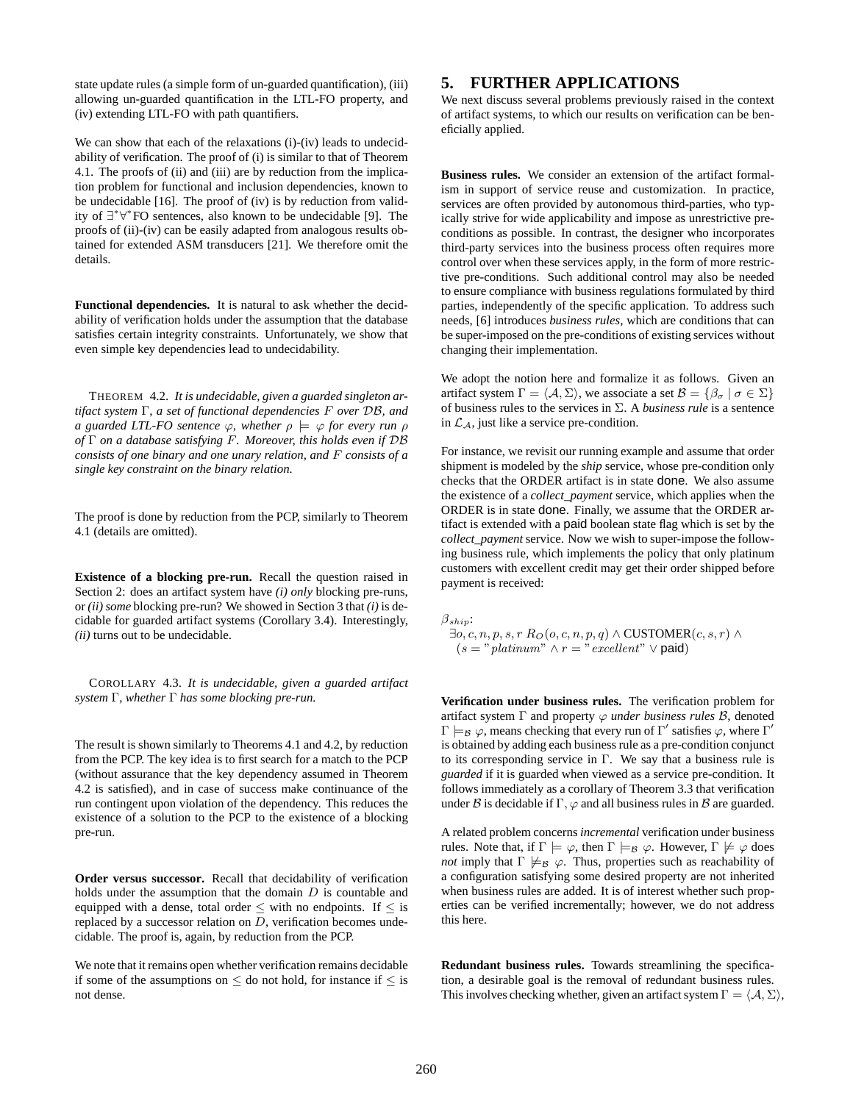state update rules (a simple form of un-guarded quantification), (iii) allowing un-guarded quantification in the LTL-FO property, and (iv) extending LTL-FO with path quantifiers.

We can show that each of the relaxations (i)-(iv) leads to undecidability of verification. The proof of (i) is similar to that of Theorem 4.1. The proofs of (ii) and (iii) are by reduction from the implication problem for functional and inclusion dependencies, known to be undecidable [16]. The proof of (iv) is by reduction from validity of ∃ ∗ ∀ ∗ FO sentences, also known to be undecidable [9]. The proofs of (ii)-(iv) can be easily adapted from analogous results obtained for extended ASM transducers [21]. We therefore omit the details.

**Functional dependencies.** It is natural to ask whether the decidability of verification holds under the assumption that the database satisfies certain integrity constraints. Unfortunately, we show that even simple key dependencies lead to undecidability.

THEOREM 4.2. *It is undecidable, given a guarded singleton artifact system* Γ*, a set of functional dependencies* F *over* DB*, and a guarded LTL-FO sentence*  $\varphi$ *, whether*  $\rho \models \varphi$  *for every run*  $\rho$ *of* Γ *on a database satisfying* F*. Moreover, this holds even if* DB *consists of one binary and one unary relation, and* F *consists of a single key constraint on the binary relation.*

The proof is done by reduction from the PCP, similarly to Theorem 4.1 (details are omitted).

**Existence of a blocking pre-run.** Recall the question raised in Section 2: does an artifact system have *(i) only* blocking pre-runs, or *(ii) some* blocking pre-run? We showed in Section 3 that *(i)* is decidable for guarded artifact systems (Corollary 3.4). Interestingly, *(ii)* turns out to be undecidable.

COROLLARY 4.3. *It is undecidable, given a guarded artifact system* Γ*, whether* Γ *has some blocking pre-run.*

The result is shown similarly to Theorems 4.1 and 4.2, by reduction from the PCP. The key idea is to first search for a match to the PCP (without assurance that the key dependency assumed in Theorem 4.2 is satisfied), and in case of success make continuance of the run contingent upon violation of the dependency. This reduces the existence of a solution to the PCP to the existence of a blocking pre-run.

**Order versus successor.** Recall that decidability of verification holds under the assumption that the domain  $D$  is countable and equipped with a dense, total order  $\leq$  with no endpoints. If  $\leq$  is replaced by a successor relation on D, verification becomes undecidable. The proof is, again, by reduction from the PCP.

We note that it remains open whether verification remains decidable if some of the assumptions on  $\leq$  do not hold, for instance if  $\leq$  is not dense.

## **5. FURTHER APPLICATIONS**

We next discuss several problems previously raised in the context of artifact systems, to which our results on verification can be beneficially applied.

**Business rules.** We consider an extension of the artifact formalism in support of service reuse and customization. In practice, services are often provided by autonomous third-parties, who typically strive for wide applicability and impose as unrestrictive preconditions as possible. In contrast, the designer who incorporates third-party services into the business process often requires more control over when these services apply, in the form of more restrictive pre-conditions. Such additional control may also be needed to ensure compliance with business regulations formulated by third parties, independently of the specific application. To address such needs, [6] introduces *business rules*, which are conditions that can be super-imposed on the pre-conditions of existing services without changing their implementation.

We adopt the notion here and formalize it as follows. Given an artifact system  $\Gamma = \langle A, \Sigma \rangle$ , we associate a set  $\mathcal{B} = \{ \beta_{\sigma} \mid \sigma \in \Sigma \}$ of business rules to the services in Σ. A *business rule* is a sentence in  $\mathcal{L}_A$ , just like a service pre-condition.

For instance, we revisit our running example and assume that order shipment is modeled by the *ship* service, whose pre-condition only checks that the ORDER artifact is in state done. We also assume the existence of a *collect\_payment* service, which applies when the ORDER is in state done. Finally, we assume that the ORDER artifact is extended with a paid boolean state flag which is set by the *collect\_payment* service. Now we wish to super-impose the following business rule, which implements the policy that only platinum customers with excellent credit may get their order shipped before payment is received:

 $\beta_{ship}$ :

 $\exists o, c, n, p, s, r \ R_O(o, c, n, p, q) \land \text{CUSTOMER}(c, s, r) \land$  $(s = "plant" \land r = "excellent" \lor \text{paid})$ 

**Verification under business rules.** The verification problem for artifact system  $\Gamma$  and property  $\varphi$  *under business rules*  $\beta$ , denoted  $\Gamma \models_{\mathcal{B}} \varphi$ , means checking that every run of  $\Gamma'$  satisfies  $\varphi$ , where  $\Gamma'$ is obtained by adding each business rule as a pre-condition conjunct to its corresponding service in Γ. We say that a business rule is *guarded* if it is guarded when viewed as a service pre-condition. It follows immediately as a corollary of Theorem 3.3 that verification under B is decidable if  $\Gamma$ ,  $\varphi$  and all business rules in B are guarded.

A related problem concerns *incremental* verification under business rules. Note that, if  $\Gamma \models \varphi$ , then  $\Gamma \models_B \varphi$ . However,  $\Gamma \not\models \varphi$  does *not* imply that  $\Gamma \not\models_B \varphi$ . Thus, properties such as reachability of a configuration satisfying some desired property are not inherited when business rules are added. It is of interest whether such properties can be verified incrementally; however, we do not address this here.

**Redundant business rules.** Towards streamlining the specification, a desirable goal is the removal of redundant business rules. This involves checking whether, given an artifact system  $\Gamma = \langle A, \Sigma \rangle$ ,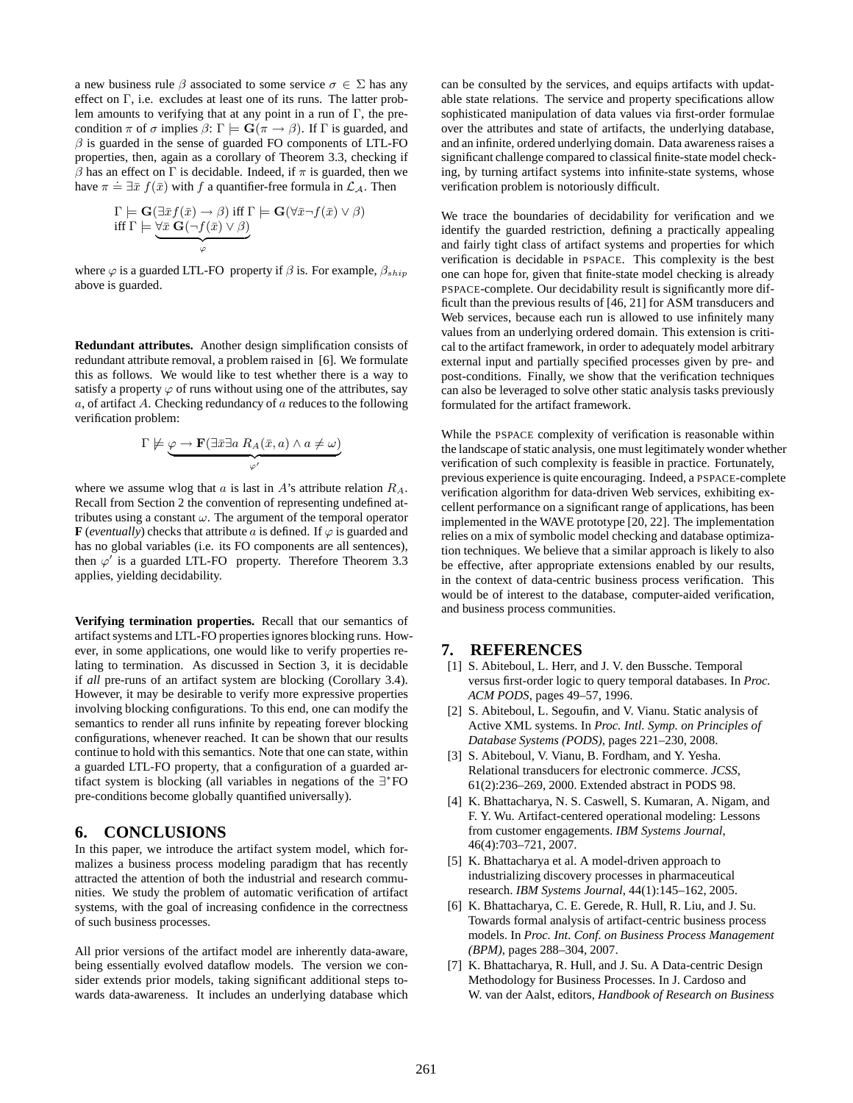a new business rule  $\beta$  associated to some service  $\sigma \in \Sigma$  has any effect on Γ, i.e. excludes at least one of its runs. The latter problem amounts to verifying that at any point in a run of  $\Gamma$ , the precondition  $\pi$  of  $\sigma$  implies  $\beta$ :  $\Gamma \models \mathbf{G}(\pi \to \beta)$ . If  $\Gamma$  is guarded, and  $\beta$  is guarded in the sense of guarded FO components of LTL-FO properties, then, again as a corollary of Theorem 3.3, checking if β has an effect on Γ is decidable. Indeed, if  $\pi$  is guarded, then we have  $\pi \doteq \exists \bar{x} f(\bar{x})$  with f a quantifier-free formula in  $\mathcal{L}_{\mathcal{A}}$ . Then

$$
\Gamma \models \mathbf{G}(\exists \bar{x} f(\bar{x}) \rightarrow \beta) \text{ iff } \Gamma \models \mathbf{G}(\forall \bar{x} \neg f(\bar{x}) \vee \beta) \text{ iff } \Gamma \models \underbrace{\forall \bar{x} \; \mathbf{G}(\neg f(\bar{x}) \vee \beta)}_{\varphi}
$$

where  $\varphi$  is a guarded LTL-FO property if  $\beta$  is. For example,  $\beta_{ship}$ above is guarded.

**Redundant attributes.** Another design simplification consists of redundant attribute removal, a problem raised in [6]. We formulate this as follows. We would like to test whether there is a way to satisfy a property  $\varphi$  of runs without using one of the attributes, say  $a$ , of artifact A. Checking redundancy of  $a$  reduces to the following verification problem:

$$
\Gamma \not\models \underbrace{\varphi \to \mathbf{F}(\exists \bar{x} \exists a \; R_A(\bar{x}, a) \land a \neq \omega)}_{\varphi'}
$$

where we assume wlog that  $a$  is last in  $A$ 's attribute relation  $R_A$ . Recall from Section 2 the convention of representing undefined attributes using a constant  $\omega$ . The argument of the temporal operator **F** (*eventually*) checks that attribute a is defined. If  $\varphi$  is guarded and has no global variables (i.e. its FO components are all sentences), then  $\varphi'$  is a guarded LTL-FO property. Therefore Theorem 3.3 applies, yielding decidability.

**Verifying termination properties.** Recall that our semantics of artifact systems and LTL-FO properties ignores blocking runs. However, in some applications, one would like to verify properties relating to termination. As discussed in Section 3, it is decidable if *all* pre-runs of an artifact system are blocking (Corollary 3.4). However, it may be desirable to verify more expressive properties involving blocking configurations. To this end, one can modify the semantics to render all runs infinite by repeating forever blocking configurations, whenever reached. It can be shown that our results continue to hold with this semantics. Note that one can state, within a guarded LTL-FO property, that a configuration of a guarded artifact system is blocking (all variables in negations of the ∃ ∗ FO pre-conditions become globally quantified universally).

#### **6. CONCLUSIONS**

In this paper, we introduce the artifact system model, which formalizes a business process modeling paradigm that has recently attracted the attention of both the industrial and research communities. We study the problem of automatic verification of artifact systems, with the goal of increasing confidence in the correctness of such business processes.

All prior versions of the artifact model are inherently data-aware, being essentially evolved dataflow models. The version we consider extends prior models, taking significant additional steps towards data-awareness. It includes an underlying database which can be consulted by the services, and equips artifacts with updatable state relations. The service and property specifications allow sophisticated manipulation of data values via first-order formulae over the attributes and state of artifacts, the underlying database, and an infinite, ordered underlying domain. Data awareness raises a significant challenge compared to classical finite-state model checking, by turning artifact systems into infinite-state systems, whose verification problem is notoriously difficult.

We trace the boundaries of decidability for verification and we identify the guarded restriction, defining a practically appealing and fairly tight class of artifact systems and properties for which verification is decidable in PSPACE. This complexity is the best one can hope for, given that finite-state model checking is already PSPACE-complete. Our decidability result is significantly more difficult than the previous results of [46, 21] for ASM transducers and Web services, because each run is allowed to use infinitely many values from an underlying ordered domain. This extension is critical to the artifact framework, in order to adequately model arbitrary external input and partially specified processes given by pre- and post-conditions. Finally, we show that the verification techniques can also be leveraged to solve other static analysis tasks previously formulated for the artifact framework.

While the PSPACE complexity of verification is reasonable within the landscape of static analysis, one must legitimately wonder whether verification of such complexity is feasible in practice. Fortunately, previous experience is quite encouraging. Indeed, a PSPACE-complete verification algorithm for data-driven Web services, exhibiting excellent performance on a significant range of applications, has been implemented in the WAVE prototype [20, 22]. The implementation relies on a mix of symbolic model checking and database optimization techniques. We believe that a similar approach is likely to also be effective, after appropriate extensions enabled by our results, in the context of data-centric business process verification. This would be of interest to the database, computer-aided verification, and business process communities.

#### **7. REFERENCES**

- [1] S. Abiteboul, L. Herr, and J. V. den Bussche. Temporal versus first-order logic to query temporal databases. In *Proc. ACM PODS*, pages 49–57, 1996.
- [2] S. Abiteboul, L. Segoufin, and V. Vianu. Static analysis of Active XML systems. In *Proc. Intl. Symp. on Principles of Database Systems (PODS)*, pages 221–230, 2008.
- [3] S. Abiteboul, V. Vianu, B. Fordham, and Y. Yesha. Relational transducers for electronic commerce. *JCSS*, 61(2):236–269, 2000. Extended abstract in PODS 98.
- [4] K. Bhattacharya, N. S. Caswell, S. Kumaran, A. Nigam, and F. Y. Wu. Artifact-centered operational modeling: Lessons from customer engagements. *IBM Systems Journal*, 46(4):703–721, 2007.
- [5] K. Bhattacharya et al. A model-driven approach to industrializing discovery processes in pharmaceutical research. *IBM Systems Journal*, 44(1):145–162, 2005.
- [6] K. Bhattacharya, C. E. Gerede, R. Hull, R. Liu, and J. Su. Towards formal analysis of artifact-centric business process models. In *Proc. Int. Conf. on Business Process Management (BPM)*, pages 288–304, 2007.
- [7] K. Bhattacharya, R. Hull, and J. Su. A Data-centric Design Methodology for Business Processes. In J. Cardoso and W. van der Aalst, editors, *Handbook of Research on Business*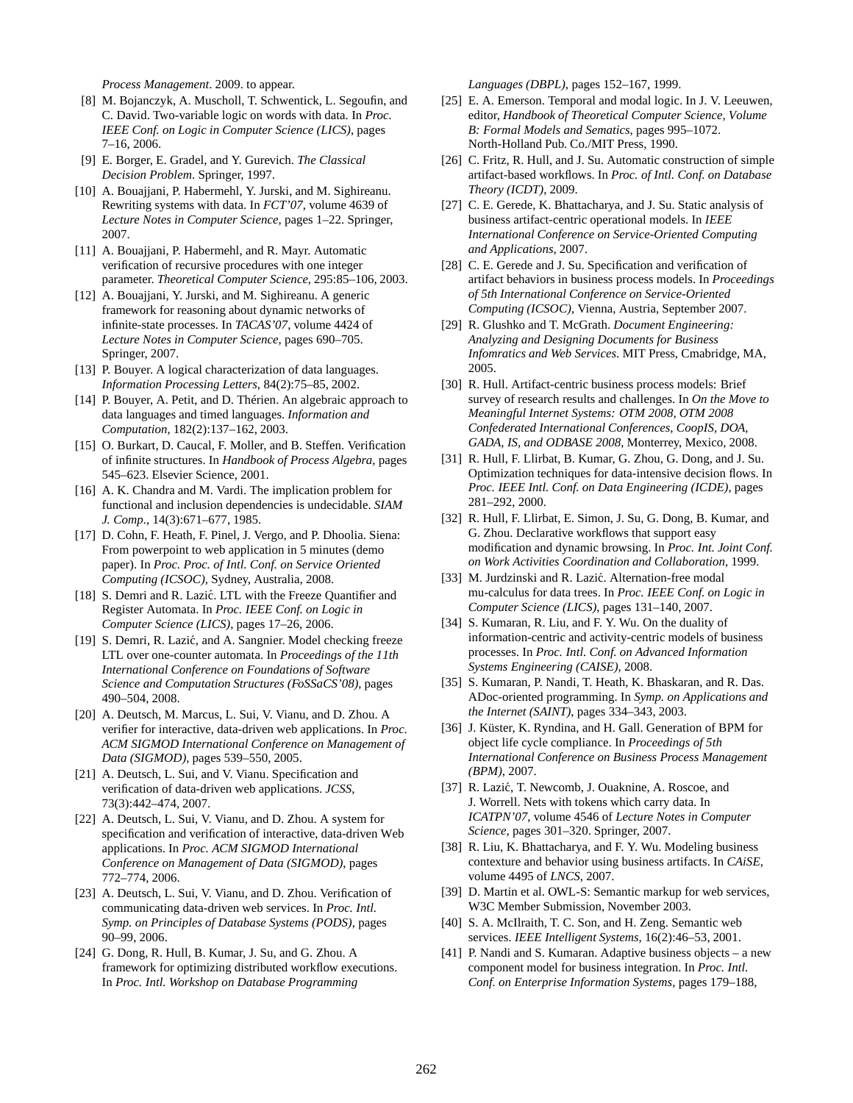*Process Management*. 2009. to appear.

- [8] M. Bojanczyk, A. Muscholl, T. Schwentick, L. Segoufin, and C. David. Two-variable logic on words with data. In *Proc. IEEE Conf. on Logic in Computer Science (LICS)*, pages 7–16, 2006.
- [9] E. Borger, E. Gradel, and Y. Gurevich. *The Classical Decision Problem*. Springer, 1997.
- [10] A. Bouajjani, P. Habermehl, Y. Jurski, and M. Sighireanu. Rewriting systems with data. In *FCT'07*, volume 4639 of *Lecture Notes in Computer Science*, pages 1–22. Springer, 2007.
- [11] A. Bouajjani, P. Habermehl, and R. Mayr. Automatic verification of recursive procedures with one integer parameter. *Theoretical Computer Science*, 295:85–106, 2003.
- [12] A. Bouajjani, Y. Jurski, and M. Sighireanu. A generic framework for reasoning about dynamic networks of infinite-state processes. In *TACAS'07*, volume 4424 of *Lecture Notes in Computer Science*, pages 690–705. Springer, 2007.
- [13] P. Bouyer. A logical characterization of data languages. *Information Processing Letters*, 84(2):75–85, 2002.
- [14] P. Bouyer, A. Petit, and D. Thérien. An algebraic approach to data languages and timed languages. *Information and Computation*, 182(2):137–162, 2003.
- [15] O. Burkart, D. Caucal, F. Moller, and B. Steffen. Verification of infinite structures. In *Handbook of Process Algebra*, pages 545–623. Elsevier Science, 2001.
- [16] A. K. Chandra and M. Vardi. The implication problem for functional and inclusion dependencies is undecidable. *SIAM J. Comp.*, 14(3):671–677, 1985.
- [17] D. Cohn, F. Heath, F. Pinel, J. Vergo, and P. Dhoolia. Siena: From powerpoint to web application in 5 minutes (demo paper). In *Proc. Proc. of Intl. Conf. on Service Oriented Computing (ICSOC)*, Sydney, Australia, 2008.
- [18] S. Demri and R. Lazić. LTL with the Freeze Quantifier and Register Automata. In *Proc. IEEE Conf. on Logic in Computer Science (LICS)*, pages 17–26, 2006.
- [19] S. Demri, R. Lazić, and A. Sangnier. Model checking freeze LTL over one-counter automata. In *Proceedings of the 11th International Conference on Foundations of Software Science and Computation Structures (FoSSaCS'08)*, pages 490–504, 2008.
- [20] A. Deutsch, M. Marcus, L. Sui, V. Vianu, and D. Zhou. A verifier for interactive, data-driven web applications. In *Proc. ACM SIGMOD International Conference on Management of Data (SIGMOD)*, pages 539–550, 2005.
- [21] A. Deutsch, L. Sui, and V. Vianu. Specification and verification of data-driven web applications. *JCSS*, 73(3):442–474, 2007.
- [22] A. Deutsch, L. Sui, V. Vianu, and D. Zhou. A system for specification and verification of interactive, data-driven Web applications. In *Proc. ACM SIGMOD International Conference on Management of Data (SIGMOD)*, pages 772–774, 2006.
- [23] A. Deutsch, L. Sui, V. Vianu, and D. Zhou. Verification of communicating data-driven web services. In *Proc. Intl. Symp. on Principles of Database Systems (PODS)*, pages 90–99, 2006.
- [24] G. Dong, R. Hull, B. Kumar, J. Su, and G. Zhou. A framework for optimizing distributed workflow executions. In *Proc. Intl. Workshop on Database Programming*

*Languages (DBPL)*, pages 152–167, 1999.

- [25] E. A. Emerson. Temporal and modal logic. In J. V. Leeuwen, editor, *Handbook of Theoretical Computer Science, Volume B: Formal Models and Sematics*, pages 995–1072. North-Holland Pub. Co./MIT Press, 1990.
- [26] C. Fritz, R. Hull, and J. Su. Automatic construction of simple artifact-based workflows. In *Proc. of Intl. Conf. on Database Theory (ICDT)*, 2009.
- [27] C. E. Gerede, K. Bhattacharya, and J. Su. Static analysis of business artifact-centric operational models. In *IEEE International Conference on Service-Oriented Computing and Applications*, 2007.
- [28] C. E. Gerede and J. Su. Specification and verification of artifact behaviors in business process models. In *Proceedings of 5th International Conference on Service-Oriented Computing (ICSOC)*, Vienna, Austria, September 2007.
- [29] R. Glushko and T. McGrath. *Document Engineering: Analyzing and Designing Documents for Business Infomratics and Web Services*. MIT Press, Cmabridge, MA, 2005.
- [30] R. Hull. Artifact-centric business process models: Brief survey of research results and challenges. In *On the Move to Meaningful Internet Systems: OTM 2008, OTM 2008 Confederated International Conferences, CoopIS, DOA, GADA, IS, and ODBASE 2008*, Monterrey, Mexico, 2008.
- [31] R. Hull, F. Llirbat, B. Kumar, G. Zhou, G. Dong, and J. Su. Optimization techniques for data-intensive decision flows. In *Proc. IEEE Intl. Conf. on Data Engineering (ICDE)*, pages 281–292, 2000.
- [32] R. Hull, F. Llirbat, E. Simon, J. Su, G. Dong, B. Kumar, and G. Zhou. Declarative workflows that support easy modification and dynamic browsing. In *Proc. Int. Joint Conf. on Work Activities Coordination and Collaboration*, 1999.
- [33] M. Jurdzinski and R. Lazić. Alternation-free modal mu-calculus for data trees. In *Proc. IEEE Conf. on Logic in Computer Science (LICS)*, pages 131–140, 2007.
- [34] S. Kumaran, R. Liu, and F. Y. Wu. On the duality of information-centric and activity-centric models of business processes. In *Proc. Intl. Conf. on Advanced Information Systems Engineering (CAISE)*, 2008.
- [35] S. Kumaran, P. Nandi, T. Heath, K. Bhaskaran, and R. Das. ADoc-oriented programming. In *Symp. on Applications and the Internet (SAINT)*, pages 334–343, 2003.
- [36] J. Küster, K. Ryndina, and H. Gall. Generation of BPM for object life cycle compliance. In *Proceedings of 5th International Conference on Business Process Management (BPM)*, 2007.
- [37] R. Lazić, T. Newcomb, J. Ouaknine, A. Roscoe, and J. Worrell. Nets with tokens which carry data. In *ICATPN'07*, volume 4546 of *Lecture Notes in Computer Science*, pages 301–320. Springer, 2007.
- [38] R. Liu, K. Bhattacharya, and F. Y. Wu. Modeling business contexture and behavior using business artifacts. In *CAiSE*, volume 4495 of *LNCS*, 2007.
- [39] D. Martin et al. OWL-S: Semantic markup for web services, W3C Member Submission, November 2003.
- [40] S. A. McIlraith, T. C. Son, and H. Zeng. Semantic web services. *IEEE Intelligent Systems*, 16(2):46–53, 2001.
- [41] P. Nandi and S. Kumaran. Adaptive business objects a new component model for business integration. In *Proc. Intl. Conf. on Enterprise Information Systems*, pages 179–188,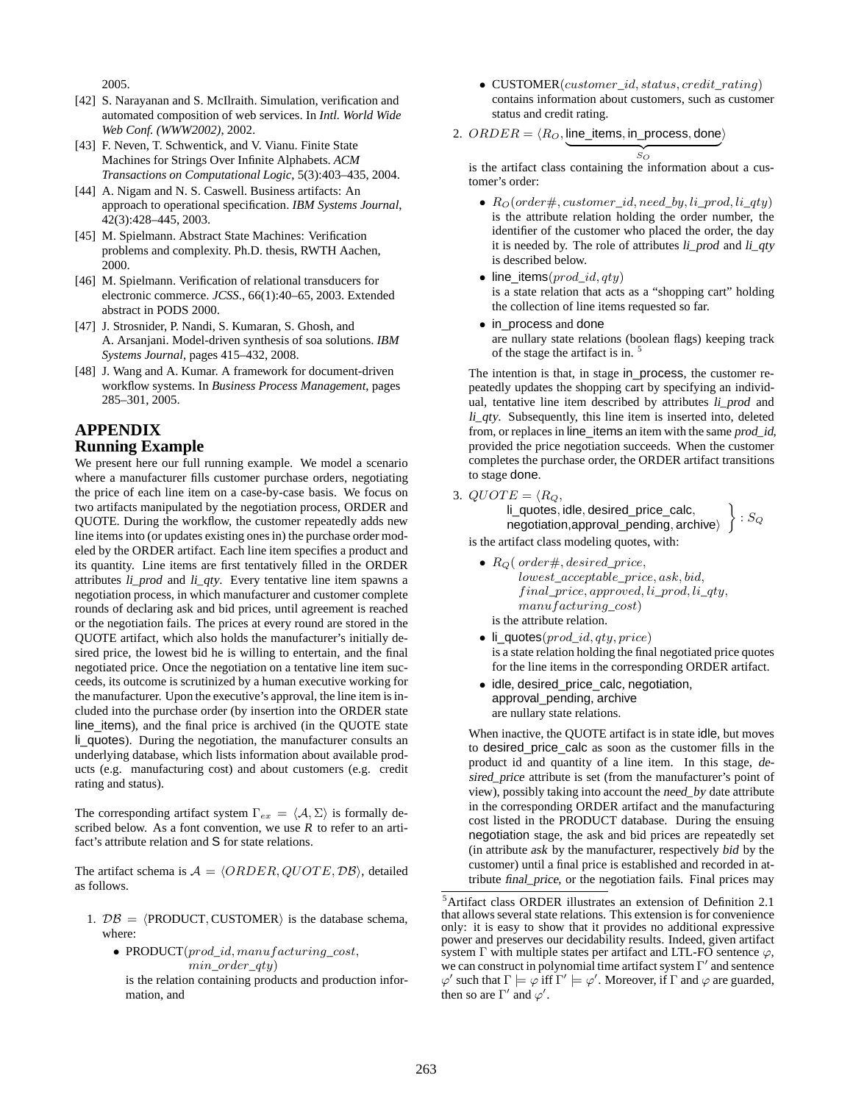2005.

- [42] S. Narayanan and S. McIlraith. Simulation, verification and automated composition of web services. In *Intl. World Wide Web Conf. (WWW2002)*, 2002.
- [43] F. Neven, T. Schwentick, and V. Vianu. Finite State Machines for Strings Over Infinite Alphabets. *ACM Transactions on Computational Logic*, 5(3):403–435, 2004.
- [44] A. Nigam and N. S. Caswell. Business artifacts: An approach to operational specification. *IBM Systems Journal*, 42(3):428–445, 2003.
- [45] M. Spielmann. Abstract State Machines: Verification problems and complexity. Ph.D. thesis, RWTH Aachen, 2000.
- [46] M. Spielmann. Verification of relational transducers for electronic commerce. *JCSS.*, 66(1):40–65, 2003. Extended abstract in PODS 2000.
- [47] J. Strosnider, P. Nandi, S. Kumaran, S. Ghosh, and A. Arsanjani. Model-driven synthesis of soa solutions. *IBM Systems Journal*, pages 415–432, 2008.
- [48] J. Wang and A. Kumar. A framework for document-driven workflow systems. In *Business Process Management*, pages 285–301, 2005.

## **APPENDIX Running Example**

We present here our full running example. We model a scenario where a manufacturer fills customer purchase orders, negotiating the price of each line item on a case-by-case basis. We focus on two artifacts manipulated by the negotiation process, ORDER and QUOTE. During the workflow, the customer repeatedly adds new line items into (or updates existing ones in) the purchase order modeled by the ORDER artifact. Each line item specifies a product and its quantity. Line items are first tentatively filled in the ORDER attributes li\_prod and li\_qty. Every tentative line item spawns a negotiation process, in which manufacturer and customer complete rounds of declaring ask and bid prices, until agreement is reached or the negotiation fails. The prices at every round are stored in the QUOTE artifact, which also holds the manufacturer's initially desired price, the lowest bid he is willing to entertain, and the final negotiated price. Once the negotiation on a tentative line item succeeds, its outcome is scrutinized by a human executive working for the manufacturer. Upon the executive's approval, the line item is included into the purchase order (by insertion into the ORDER state line\_items), and the final price is archived (in the QUOTE state li\_quotes). During the negotiation, the manufacturer consults an underlying database, which lists information about available products (e.g. manufacturing cost) and about customers (e.g. credit rating and status).

The corresponding artifact system  $\Gamma_{ex} = \langle A, \Sigma \rangle$  is formally described below. As a font convention, we use  $R$  to refer to an artifact's attribute relation and S for state relations.

The artifact schema is  $A = \langle ORDER, QUOTE, DB \rangle$ , detailed as follows.

- 1.  $DB = \langle \text{PRODUCT}, \text{CUSTOMER} \rangle$  is the database schema, where:
	- PRODUCT(prod\_id, manufacturing\_cost, min\_order\_qty)

is the relation containing products and production information, and

• CUSTOMER(customer\_id, status, credit\_rating) contains information about customers, such as customer status and credit rating.

2. 
$$
ORDER = \langle R_O, line\_items, in\_process, done \rangle
$$

 $\mathcal{S}_O$ is the artifact class containing the information about a customer's order:

 $\overbrace{S_{\alpha}}$ 

- $R_O(\text{order#}, \text{customer} \text{ id}, \text{need} \text{ by}, \text{li} \text{ prod}, \text{li} \text{ qty})$ is the attribute relation holding the order number, the identifier of the customer who placed the order, the day it is needed by. The role of attributes *li\_prod* and *li\_qty* is described below.
- line\_items( $prod_id,qty$ )

is a state relation that acts as a "shopping cart" holding the collection of line items requested so far.

• in process and done are nullary state relations (boolean flags) keeping track of the stage the artifact is in.<sup>5</sup>

The intention is that, in stage in\_process, the customer repeatedly updates the shopping cart by specifying an individual, tentative line item described by attributes li\_prod and li\_qty. Subsequently, this line item is inserted into, deleted from, or replaces in line\_items an item with the same prod\_id, provided the price negotiation succeeds. When the customer completes the purchase order, the ORDER artifact transitions to stage done.

3.  $QUOTE = \langle R_Q,$ 

li\_quotes, idle, desired\_price\_calc,  $negotiation, approxical\_pending, archive$  $\big\}$  :  $S_Q$ 

is the artifact class modeling quotes, with:

- $R_Q$  (order#, desired\_price, lowest\_acceptable\_price, ask, bid,  $final\_price, approved, li\_prod, li\_qty,$ manufacturing\_cost) is the attribute relation.
- li\_quotes( $prod_id,qty, price$ ) is a state relation holding the final negotiated price quotes for the line items in the corresponding ORDER artifact.
- idle, desired\_price\_calc, negotiation, approval\_pending, archive are nullary state relations.

When inactive, the QUOTE artifact is in state idle, but moves to desired\_price\_calc as soon as the customer fills in the product id and quantity of a line item. In this stage, desired\_price attribute is set (from the manufacturer's point of view), possibly taking into account the need\_by date attribute in the corresponding ORDER artifact and the manufacturing cost listed in the PRODUCT database. During the ensuing negotiation stage, the ask and bid prices are repeatedly set (in attribute ask by the manufacturer, respectively bid by the customer) until a final price is established and recorded in attribute final\_price, or the negotiation fails. Final prices may

<sup>5</sup>Artifact class ORDER illustrates an extension of Definition 2.1 that allows several state relations. This extension is for convenience only: it is easy to show that it provides no additional expressive power and preserves our decidability results. Indeed, given artifact system  $\Gamma$  with multiple states per artifact and LTL-FO sentence  $\varphi$ , we can construct in polynomial time artifact system  $\Gamma'$  and sentence  $\varphi'$  such that  $\Gamma \models \varphi$  iff  $\Gamma' \models \varphi'$ . Moreover, if  $\Gamma$  and  $\varphi$  are guarded, then so are  $\Gamma'$  and  $\varphi'$ .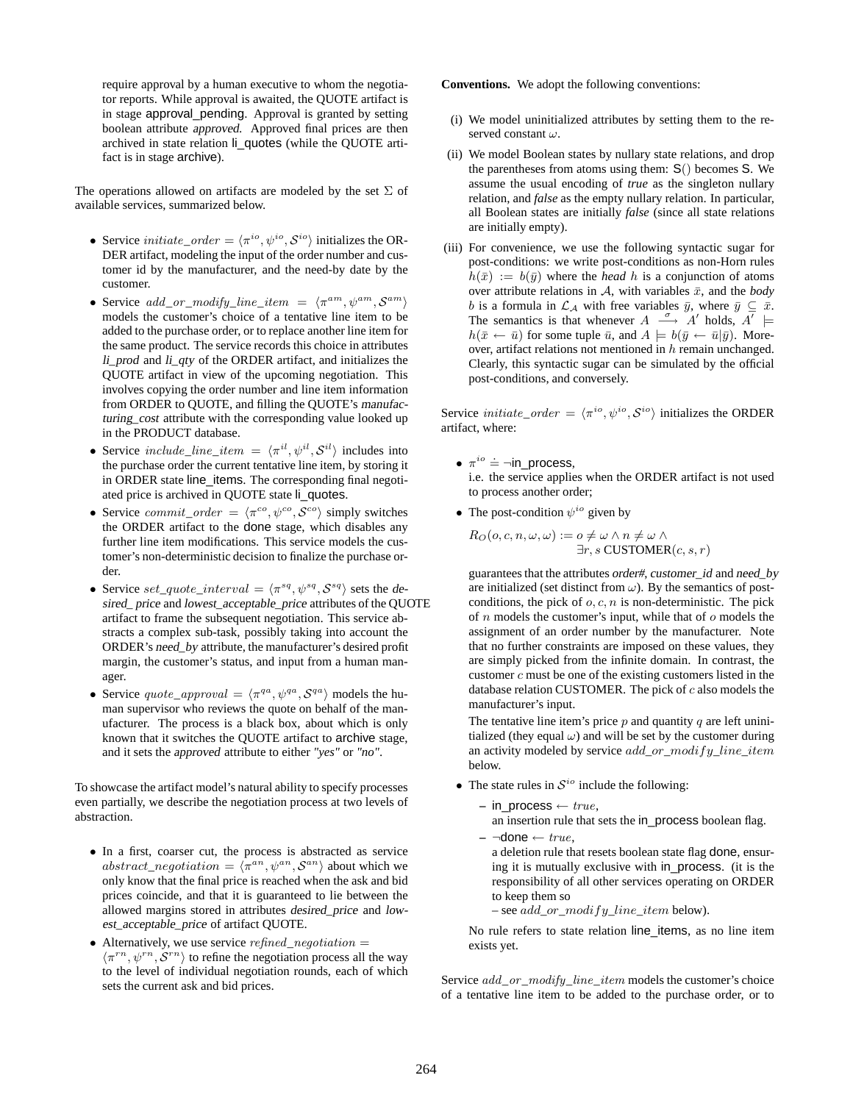require approval by a human executive to whom the negotiator reports. While approval is awaited, the QUOTE artifact is in stage approval\_pending. Approval is granted by setting boolean attribute approved. Approved final prices are then archived in state relation li\_quotes (while the QUOTE artifact is in stage archive).

The operations allowed on artifacts are modeled by the set  $\Sigma$  of available services, summarized below.

- Service *initiate\_order* =  $\langle \pi^{io}, \psi^{io}, \mathcal{S}^{io} \rangle$  initializes the OR-DER artifact, modeling the input of the order number and customer id by the manufacturer, and the need-by date by the customer.
- Service  $add\_or\_modify\_line\_item = \langle \pi^{am}, \psi^{am}, \mathcal{S}^{am} \rangle$ models the customer's choice of a tentative line item to be added to the purchase order, or to replace another line item for the same product. The service records this choice in attributes li\_prod and li\_qty of the ORDER artifact, and initializes the QUOTE artifact in view of the upcoming negotiation. This involves copying the order number and line item information from ORDER to QUOTE, and filling the QUOTE's manufacturing\_cost attribute with the corresponding value looked up in the PRODUCT database.
- Service include\_line\_item =  $\langle \pi^{il}, \psi^{il}, \mathcal{S}^{il} \rangle$  includes into the purchase order the current tentative line item, by storing it in ORDER state line\_items. The corresponding final negotiated price is archived in QUOTE state li\_quotes.
- Service commit\_order =  $\langle \pi^{co}, \psi^{co}, \mathcal{S}^{co} \rangle$  simply switches the ORDER artifact to the done stage, which disables any further line item modifications. This service models the customer's non-deterministic decision to finalize the purchase order.
- Service set\_quote\_interval =  $\langle \pi^{sq}, \psi^{sq}, \mathcal{S}^{sq} \rangle$  sets the desired\_ price and lowest\_acceptable\_price attributes of the QUOTE artifact to frame the subsequent negotiation. This service abstracts a complex sub-task, possibly taking into account the ORDER's need\_by attribute, the manufacturer's desired profit margin, the customer's status, and input from a human manager.
- Service quote\_approval =  $\langle \pi^{qa}, \psi^{qa}, \mathcal{S}^{qa} \rangle$  models the human supervisor who reviews the quote on behalf of the manufacturer. The process is a black box, about which is only known that it switches the QUOTE artifact to archive stage, and it sets the approved attribute to either *"yes"* or *"no"*.

To showcase the artifact model's natural ability to specify processes even partially, we describe the negotiation process at two levels of abstraction.

- In a first, coarser cut, the process is abstracted as service  $abstract\_negotiation = \langle \pi^{an}, \psi^{an}, \mathcal{S}^{an} \rangle$  about which we only know that the final price is reached when the ask and bid prices coincide, and that it is guaranteed to lie between the allowed margins stored in attributes desired\_price and lowest\_acceptable\_price of artifact QUOTE.
- Alternatively, we use service  $refined\_negotiation =$  $\langle \pi^{rn}, \psi^{rn}, \mathcal{S}^{rn} \rangle$  to refine the negotiation process all the way to the level of individual negotiation rounds, each of which sets the current ask and bid prices.

**Conventions.** We adopt the following conventions:

- (i) We model uninitialized attributes by setting them to the reserved constant  $\omega$ .
- (ii) We model Boolean states by nullary state relations, and drop the parentheses from atoms using them: S() becomes S. We assume the usual encoding of *true* as the singleton nullary relation, and *false* as the empty nullary relation. In particular, all Boolean states are initially *false* (since all state relations are initially empty).
- (iii) For convenience, we use the following syntactic sugar for post-conditions: we write post-conditions as non-Horn rules  $h(\bar{x}) := b(\bar{y})$  where the *head* h is a conjunction of atoms over attribute relations in  $A$ , with variables  $\bar{x}$ , and the *body* b is a formula in  $\mathcal{L}_{\mathcal{A}}$  with free variables  $\bar{y}$ , where  $\bar{y} \subseteq \bar{x}$ . The semantics is that whenever  $A \stackrel{\sigma}{\longrightarrow} A'$  holds,  $A' \models$  $h(\bar{x} \leftarrow \bar{u})$  for some tuple  $\bar{u}$ , and  $A \models b(\bar{y} \leftarrow \bar{u}|\bar{y})$ . Moreover, artifact relations not mentioned in  $h$  remain unchanged. Clearly, this syntactic sugar can be simulated by the official post-conditions, and conversely.

Service *initiate\_order* =  $\langle \pi^{io}, \psi^{io}, \mathcal{S}^{io} \rangle$  initializes the ORDER artifact, where:

- $\pi^{io} \doteq \neg$ in\_process, i.e. the service applies when the ORDER artifact is not used to process another order;
- The post-condition  $\psi^{io}$  given by

$$
R_O(o, c, n, \omega, \omega) := o \neq \omega \land n \neq \omega \land \exists r, s \text{ CUSTOMER}(c, s, r)
$$

guarantees that the attributes order#, customer\_id and need\_by are initialized (set distinct from  $\omega$ ). By the semantics of postconditions, the pick of  $o, c, n$  is non-deterministic. The pick of  $n$  models the customer's input, while that of  $o$  models the assignment of an order number by the manufacturer. Note that no further constraints are imposed on these values, they are simply picked from the infinite domain. In contrast, the customer  $c$  must be one of the existing customers listed in the database relation CUSTOMER. The pick of  $c$  also models the manufacturer's input.

The tentative line item's price  $p$  and quantity  $q$  are left uninitialized (they equal  $\omega$ ) and will be set by the customer during an activity modeled by service  $add\_or\_modify\_line\_item$ below.

- The state rules in  $S^{io}$  include the following:
	- $-$  in process  $\leftarrow true$ ,
	- an insertion rule that sets the in\_process boolean flag.  $- \neg$ done  $\leftarrow true$ .

a deletion rule that resets boolean state flag done, ensuring it is mutually exclusive with in\_process. (it is the responsibility of all other services operating on ORDER to keep them so

```
– see add\_or\_modify\_line\_item below).
```
No rule refers to state relation line\_items, as no line item exists yet.

Service add\_or\_modify\_line\_item models the customer's choice of a tentative line item to be added to the purchase order, or to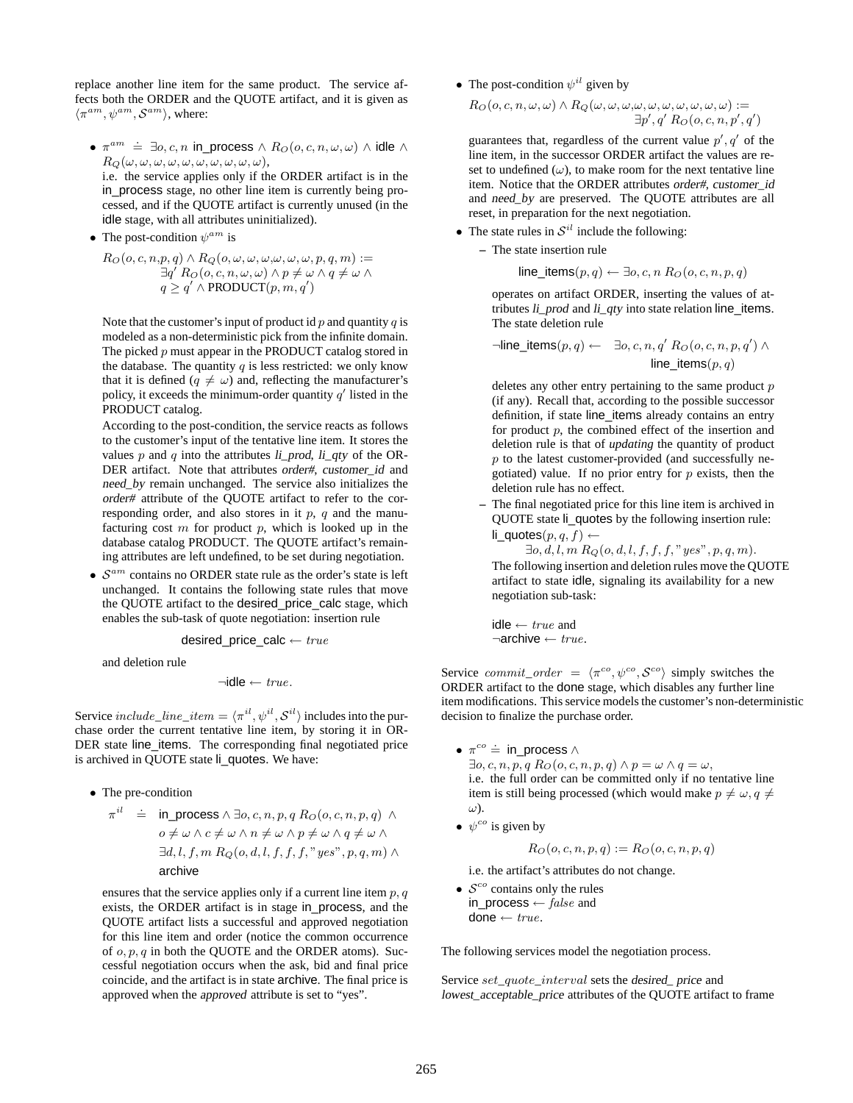replace another line item for the same product. The service affects both the ORDER and the QUOTE artifact, and it is given as  $\langle \pi^{am}, \psi^{am}, \mathcal{S}^{am} \rangle$ , where:

- $\pi^{am}$   $\dot{=}$   $\exists o, c, n$  in\_process  $\wedge$   $R_O(o, c, n, \omega, \omega)$   $\wedge$  idle  $\wedge$  $R_Q(\omega, \omega, \omega, \omega, \omega, \omega, \omega, \omega, \omega, \omega),$ i.e. the service applies only if the ORDER artifact is in the in\_process stage, no other line item is currently being processed, and if the QUOTE artifact is currently unused (in the idle stage, with all attributes uninitialized).
- The post-condition  $\psi^{am}$  is

 $R_O(o, c, n, p, q) \wedge R_Q(o, \omega, \omega, \omega, \omega, \omega, \omega, p, q, m) :=$  $\exists q' R_O(o, c, n, \omega, \omega) \wedge p \neq \omega \wedge q \neq \omega \wedge$  $q \geq q' \wedge \text{PRODUCT}(p, m, q')$ 

Note that the customer's input of product id  $p$  and quantity  $q$  is modeled as a non-deterministic pick from the infinite domain. The picked  $p$  must appear in the PRODUCT catalog stored in the database. The quantity  $q$  is less restricted: we only know that it is defined  $(q \neq \omega)$  and, reflecting the manufacturer's policy, it exceeds the minimum-order quantity  $q'$  listed in the PRODUCT catalog.

According to the post-condition, the service reacts as follows to the customer's input of the tentative line item. It stores the values p and q into the attributes  $\lim_{n \to \infty} \frac{d^n}{n!}$  of the OR-DER artifact. Note that attributes order#, customer id and need\_by remain unchanged. The service also initializes the order# attribute of the QUOTE artifact to refer to the corresponding order, and also stores in it  $p$ ,  $q$  and the manufacturing cost  $m$  for product  $p$ , which is looked up in the database catalog PRODUCT. The QUOTE artifact's remaining attributes are left undefined, to be set during negotiation.

•  $S^{am}$  contains no ORDER state rule as the order's state is left unchanged. It contains the following state rules that move the QUOTE artifact to the desired\_price\_calc stage, which enables the sub-task of quote negotiation: insertion rule

desired\_price\_calc  $\leftarrow true$ 

and deletion rule

 $\neg$ idle  $\leftarrow true$ .

Service  $include\_line\_item = \langle \pi^{il}, \psi^{il}, \mathcal{S}^{il} \rangle$  includes into the purchase order the current tentative line item, by storing it in OR-DER state line\_items. The corresponding final negotiated price is archived in QUOTE state li\_quotes. We have:

• The pre-condition

$$
\begin{array}{rcl} \pi^{il} & \doteq & \text{in\_process} \land \exists o, c, n, p, q \ R_O(o, c, n, p, q) \land \\ & o \neq \omega \land c \neq \omega \land n \neq \omega \land p \neq \omega \land q \neq \omega \land \\ & \exists d, l, f, m \ R_Q(o, d, l, f, f, f, \text{''} yes'', p, q, m) \land \\ & \text{archive} \end{array}
$$

ensures that the service applies only if a current line item  $p, q$ exists, the ORDER artifact is in stage in\_process, and the QUOTE artifact lists a successful and approved negotiation for this line item and order (notice the common occurrence of  $o, p, q$  in both the QUOTE and the ORDER atoms). Successful negotiation occurs when the ask, bid and final price coincide, and the artifact is in state archive. The final price is approved when the approved attribute is set to "yes".

• The post-condition  $\psi^{il}$  given by

$$
R_O(o, c, n, \omega, \omega) \land R_O(\omega, \omega, \omega, \omega, \omega, \omega, \omega, \omega, \omega, \omega) := \exists p', q' R_O(o, c, n, p', q')
$$

guarantees that, regardless of the current value  $p', q'$  of the line item, in the successor ORDER artifact the values are reset to undefined  $(\omega)$ , to make room for the next tentative line item. Notice that the ORDER attributes order#, customer id and need\_by are preserved. The QUOTE attributes are all reset, in preparation for the next negotiation.

• The state rules in  $S^{il}$  include the following:

**–** The state insertion rule

line<sub>i</sub>items
$$
(p, q) \leftarrow \exists o, c, n \ R_O(o, c, n, p, q)
$$

operates on artifact ORDER, inserting the values of attributes *li* prod and *li* qty into state relation line items. The state deletion rule

$$
\neg \text{line\_items}(p, q) \leftarrow \exists o, c, n, q' R_O(o, c, n, p, q') \land
$$
  

$$
\text{line\_items}(p, q)
$$

deletes any other entry pertaining to the same product  $p$ (if any). Recall that, according to the possible successor definition, if state line\_items already contains an entry for product  $p$ , the combined effect of the insertion and deletion rule is that of *updating* the quantity of product  $p$  to the latest customer-provided (and successfully negotiated) value. If no prior entry for  $p$  exists, then the deletion rule has no effect.

**–** The final negotiated price for this line item is archived in QUOTE state li\_quotes by the following insertion rule: li\_quotes $(p, q, f)$  ←

 $\exists o, d, l, m \, R_Q(o, d, l, f, f, f, "yes", p, q, m).$ The following insertion and deletion rules move the QUOTE artifact to state idle, signaling its availability for a new negotiation sub-task:

idle  $← true$  and  $\neg$ archive  $\leftarrow true$ .

Service commit\_order =  $\langle \pi^{co}, \psi^{co}, \mathcal{S}^{co} \rangle$  simply switches the ORDER artifact to the done stage, which disables any further line item modifications. This service models the customer's non-deterministic decision to finalize the purchase order.

- $\pi^{co} \doteq \text{in\_process} \wedge$  $\exists o, c, n, p, q \ R_O(o, c, n, p, q) \land p = \omega \land q = \omega,$ i.e. the full order can be committed only if no tentative line item is still being processed (which would make  $p \neq \omega, q \neq$ ω).
- $\psi^{co}$  is given by

$$
R_O(o, c, n, p, q) := R_O(o, c, n, p, q)
$$

i.e. the artifact's attributes do not change.

•  $S^{co}$  contains only the rules in\_process  $\leftarrow$  false and done  $\leftarrow \text{true}.$ 

The following services model the negotiation process.

Service set\_quote\_interval sets the desired\_ price and lowest\_acceptable\_price attributes of the QUOTE artifact to frame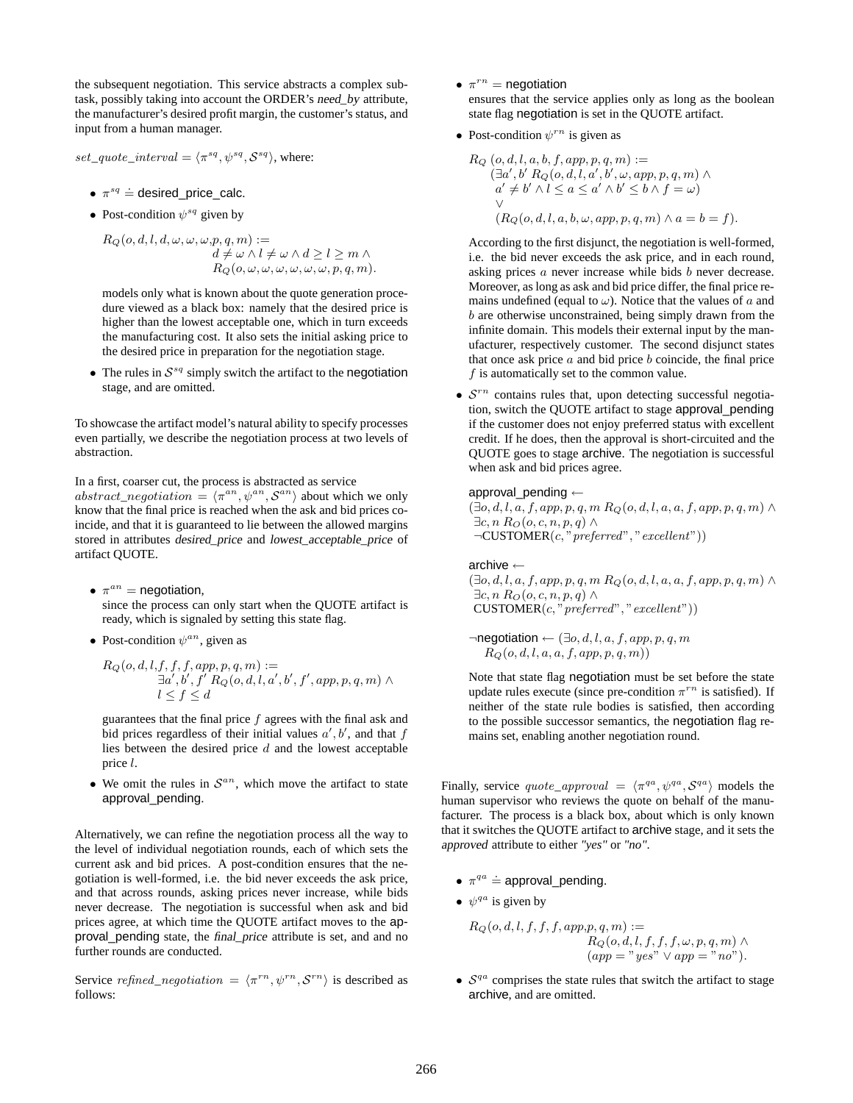the subsequent negotiation. This service abstracts a complex subtask, possibly taking into account the ORDER's need\_by attribute, the manufacturer's desired profit margin, the customer's status, and input from a human manager.

set\_quote\_interval =  $\langle \pi^{sq}, \psi^{sq}, \mathcal{S}^{sq} \rangle$ , where:

- $\pi^{sq} \doteq$  desired\_price\_calc.
- Post-condition  $\psi^{sq}$  given by

 $R_Q(o,d,l,d,\omega,\omega,\omega,p,q,m) :=$  $d \neq \omega \wedge l \neq \omega \wedge d \geq l \geq m \wedge$  $R_O(o, \omega, \omega, \omega, \omega, \omega, \omega, p, q, m).$ 

models only what is known about the quote generation procedure viewed as a black box: namely that the desired price is higher than the lowest acceptable one, which in turn exceeds the manufacturing cost. It also sets the initial asking price to the desired price in preparation for the negotiation stage.

• The rules in  $S^{sq}$  simply switch the artifact to the negotiation stage, and are omitted.

To showcase the artifact model's natural ability to specify processes even partially, we describe the negotiation process at two levels of abstraction.

In a first, coarser cut, the process is abstracted as service abstract\_negotiation =  $\langle \pi^{an}, \psi^{an}, \mathcal{S}^{an} \rangle$  about which we only know that the final price is reached when the ask and bid prices coincide, and that it is guaranteed to lie between the allowed margins stored in attributes desired\_price and lowest\_acceptable\_price of artifact QUOTE.

- $\pi^{an}$  = negotiation, since the process can only start when the QUOTE artifact is ready, which is signaled by setting this state flag.
- Post-condition  $\psi^{an}$ , given as

$$
R_Q(o,d,l,f,f,f,app,p,q,m) :=
$$
  
\n
$$
\exists a', b', f' R_Q(o,d,l,a',b',f',app,p,q,m) \land
$$
  
\n
$$
l \le f \le d
$$

guarantees that the final price  $f$  agrees with the final ask and bid prices regardless of their initial values  $a', b'$ , and that f lies between the desired price  $d$  and the lowest acceptable price l.

• We omit the rules in  $S^{an}$ , which move the artifact to state approval\_pending.

Alternatively, we can refine the negotiation process all the way to the level of individual negotiation rounds, each of which sets the current ask and bid prices. A post-condition ensures that the negotiation is well-formed, i.e. the bid never exceeds the ask price, and that across rounds, asking prices never increase, while bids never decrease. The negotiation is successful when ask and bid prices agree, at which time the QUOTE artifact moves to the approval\_pending state, the final\_price attribute is set, and and no further rounds are conducted.

Service refined\_negotiation =  $\langle \pi^{rn}, \psi^{rn}, \mathcal{S}^{rn} \rangle$  is described as follows:

- $\pi^{rn}$  = negotiation ensures that the service applies only as long as the boolean state flag negotiation is set in the QUOTE artifact.
- Post-condition  $\psi^{rn}$  is given as

$$
R_Q(o, d, l, a, b, f, app, p, q, m) :=
$$
  
\n
$$
(\exists a', b' R_Q(o, d, l, a', b', \omega, app, p, q, m) \land
$$
  
\n
$$
a' \neq b' \land l \leq a \leq a' \land b' \leq b \land f = \omega)
$$
  
\n
$$
(R_Q(o, d, l, a, b, \omega, app, p, q, m) \land a = b = f).
$$

According to the first disjunct, the negotiation is well-formed, i.e. the bid never exceeds the ask price, and in each round, asking prices *a* never increase while bids *b* never decrease. Moreover, as long as ask and bid price differ, the final price remains undefined (equal to  $\omega$ ). Notice that the values of a and b are otherwise unconstrained, being simply drawn from the infinite domain. This models their external input by the manufacturer, respectively customer. The second disjunct states that once ask price  $a$  and bid price  $b$  coincide, the final price  $f$  is automatically set to the common value.

•  $S^{rn}$  contains rules that, upon detecting successful negotiation, switch the QUOTE artifact to stage approval\_pending if the customer does not enjoy preferred status with excellent credit. If he does, then the approval is short-circuited and the QUOTE goes to stage archive. The negotiation is successful when ask and bid prices agree.

#### approval pending  $\leftarrow$

 $(\exists o, d, l, a, f, app, p, q, m R_Q(o, d, l, a, a, f, app, p, q, m) \wedge$  $\exists c, n \; R_O(o, c, n, p, q) \land$  $\neg$ CUSTOMER(c," preferred", "excellent"))

archive ←

 $(\exists o, d, l, a, f, app, p, q, m R_Q(o, d, l, a, a, f, app, p, q, m) \wedge$  $\exists c, n \, R_O(o, c, n, p, q) \land$  $CUSTOMER(c, "preferred", "excellent"))$ 

 $\neg$ negotiation  $\leftarrow (\exists o, d, l, a, f, app, p, q, m)$  $R_O(o, d, l, a, a, f, app, p, q, m))$ 

Note that state flag negotiation must be set before the state update rules execute (since pre-condition  $\pi^{rn}$  is satisfied). If neither of the state rule bodies is satisfied, then according to the possible successor semantics, the negotiation flag remains set, enabling another negotiation round.

Finally, service  $\text{quot}_{\text{opproval}} = \langle \pi^{qa}, \psi^{qa}, \mathcal{S}^{qa} \rangle$  models the human supervisor who reviews the quote on behalf of the manufacturer. The process is a black box, about which is only known that it switches the QUOTE artifact to archive stage, and it sets the approved attribute to either *"yes"* or *"no"*.

- $\pi^{qa} \doteq$  approval\_pending.
- $\psi^{qa}$  is given by

 $R_Q(o, d, l, f, f, f, app, p, q, m) :=$  $R_Q(o,d,l,f,f,f,\omega, p,q,m) \wedge$  $(app = "yes" \vee app = "no".$ 

•  $S^{qa}$  comprises the state rules that switch the artifact to stage archive, and are omitted.